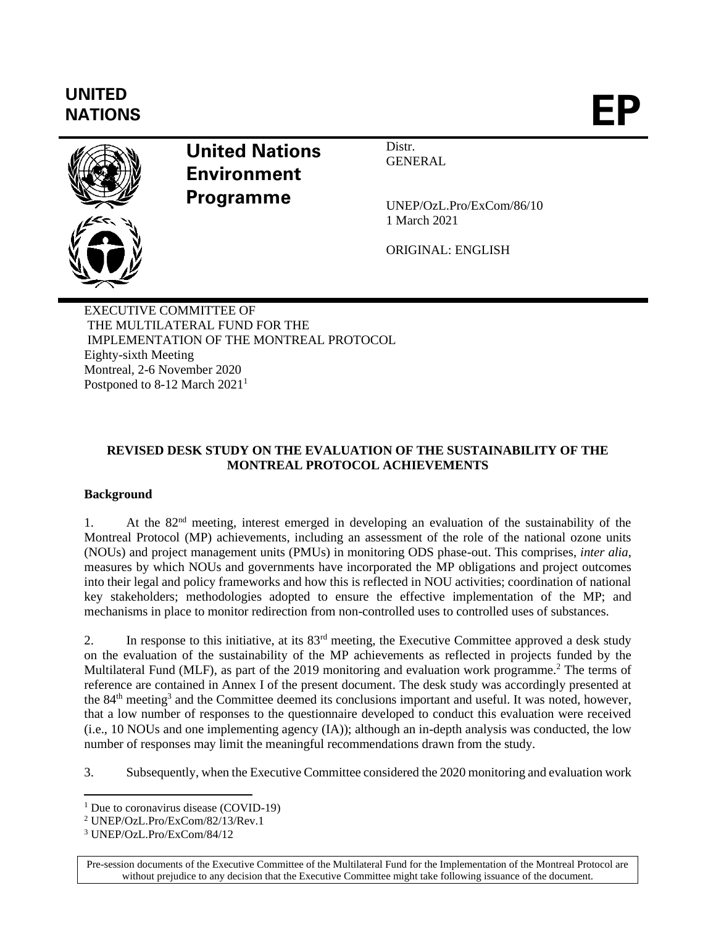# **UNITED** UNILED<br>NATIONS **EP**



**United Nations Environment Programme**

Distr. GENERAL

UNEP/OzL.Pro/ExCom/86/10 1 March 2021

ORIGINAL: ENGLISH

EXECUTIVE COMMITTEE OF THE MULTILATERAL FUND FOR THE IMPLEMENTATION OF THE MONTREAL PROTOCOL Eighty-sixth Meeting Montreal, 2-6 November 2020 Postponed to 8-12 March 2021<sup>1</sup>

## **REVISED DESK STUDY ON THE EVALUATION OF THE SUSTAINABILITY OF THE MONTREAL PROTOCOL ACHIEVEMENTS**

## **Background**

1. At the 82nd meeting, interest emerged in developing an evaluation of the sustainability of the Montreal Protocol (MP) achievements, including an assessment of the role of the national ozone units (NOUs) and project management units (PMUs) in monitoring ODS phase-out. This comprises, *inter alia*, measures by which NOUs and governments have incorporated the MP obligations and project outcomes into their legal and policy frameworks and how this is reflected in NOU activities; coordination of national key stakeholders; methodologies adopted to ensure the effective implementation of the MP; and mechanisms in place to monitor redirection from non-controlled uses to controlled uses of substances.

2. In response to this initiative, at its  $83<sup>rd</sup>$  meeting, the Executive Committee approved a desk study on the evaluation of the sustainability of the MP achievements as reflected in projects funded by the Multilateral Fund (MLF), as part of the 2019 monitoring and evaluation work programme.<sup>2</sup> The terms of reference are contained in Annex I of the present document. The desk study was accordingly presented at the 84<sup>th</sup> meeting<sup>3</sup> and the Committee deemed its conclusions important and useful. It was noted, however, that a low number of responses to the questionnaire developed to conduct this evaluation were received (i.e., 10 NOUs and one implementing agency (IA)); although an in-depth analysis was conducted, the low number of responses may limit the meaningful recommendations drawn from the study.

3. Subsequently, when the Executive Committee considered the 2020 monitoring and evaluation work

Pre-session documents of the Executive Committee of the Multilateral Fund for the Implementation of the Montreal Protocol are without prejudice to any decision that the Executive Committee might take following issuance of the document.

<sup>&</sup>lt;sup>1</sup> Due to coronavirus disease (COVID-19)

<sup>2</sup> UNEP/OzL.Pro/ExCom/82/13/Rev.1

<sup>3</sup> UNEP/OzL.Pro/ExCom/84/12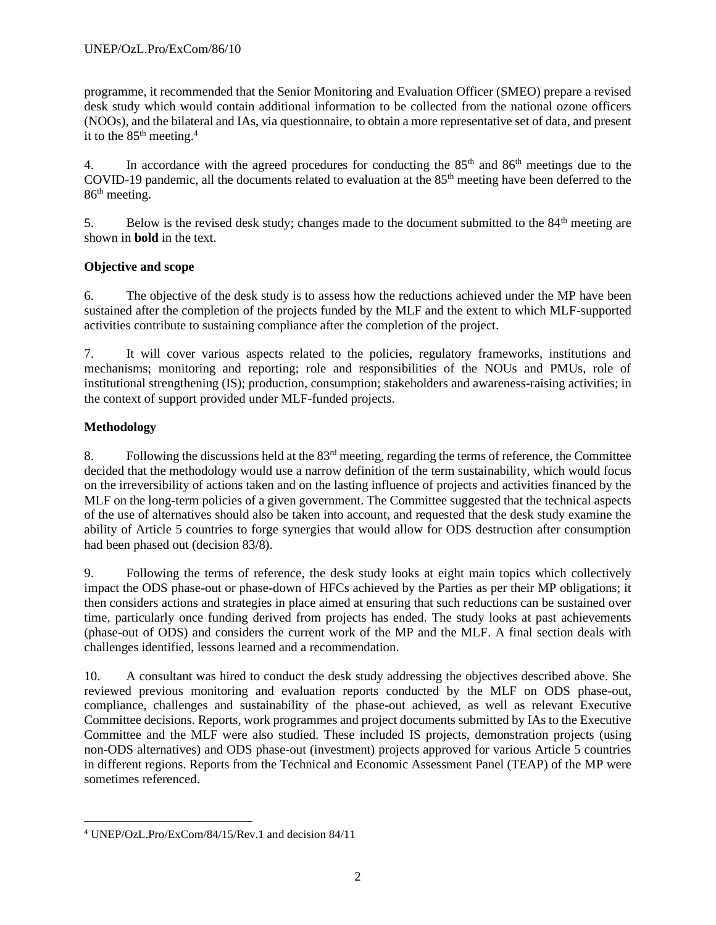programme, it recommended that the Senior Monitoring and Evaluation Officer (SMEO) prepare a revised desk study which would contain additional information to be collected from the national ozone officers (NOOs), and the bilateral and IAs, via questionnaire, to obtain a more representative set of data, and present it to the  $85<sup>th</sup>$  meeting.<sup>4</sup>

4. In accordance with the agreed procedures for conducting the 85<sup>th</sup> and 86<sup>th</sup> meetings due to the COVID-19 pandemic, all the documents related to evaluation at the 85<sup>th</sup> meeting have been deferred to the 86<sup>th</sup> meeting.

5. Below is the revised desk study; changes made to the document submitted to the 84<sup>th</sup> meeting are shown in **bold** in the text.

## **Objective and scope**

6. The objective of the desk study is to assess how the reductions achieved under the MP have been sustained after the completion of the projects funded by the MLF and the extent to which MLF-supported activities contribute to sustaining compliance after the completion of the project.

7. It will cover various aspects related to the policies, regulatory frameworks, institutions and mechanisms; monitoring and reporting; role and responsibilities of the NOUs and PMUs, role of institutional strengthening (IS); production, consumption; stakeholders and awareness-raising activities; in the context of support provided under MLF-funded projects.

## **Methodology**

8. Following the discussions held at the 83rd meeting, regarding the terms of reference, the Committee decided that the methodology would use a narrow definition of the term sustainability, which would focus on the irreversibility of actions taken and on the lasting influence of projects and activities financed by the MLF on the long-term policies of a given government. The Committee suggested that the technical aspects of the use of alternatives should also be taken into account, and requested that the desk study examine the ability of Article 5 countries to forge synergies that would allow for ODS destruction after consumption had been phased out (decision 83/8).

9. Following the terms of reference, the desk study looks at eight main topics which collectively impact the ODS phase-out or phase-down of HFCs achieved by the Parties as per their MP obligations; it then considers actions and strategies in place aimed at ensuring that such reductions can be sustained over time, particularly once funding derived from projects has ended. The study looks at past achievements (phase-out of ODS) and considers the current work of the MP and the MLF. A final section deals with challenges identified, lessons learned and a recommendation.

10. A consultant was hired to conduct the desk study addressing the objectives described above. She reviewed previous monitoring and evaluation reports conducted by the MLF on ODS phase-out, compliance, challenges and sustainability of the phase-out achieved, as well as relevant Executive Committee decisions. Reports, work programmes and project documents submitted by IAs to the Executive Committee and the MLF were also studied. These included IS projects, demonstration projects (using non-ODS alternatives) and ODS phase-out (investment) projects approved for various Article 5 countries in different regions. Reports from the Technical and Economic Assessment Panel (TEAP) of the MP were sometimes referenced.

<sup>4</sup> UNEP/OzL.Pro/ExCom/84/15/Rev.1 and decision 84/11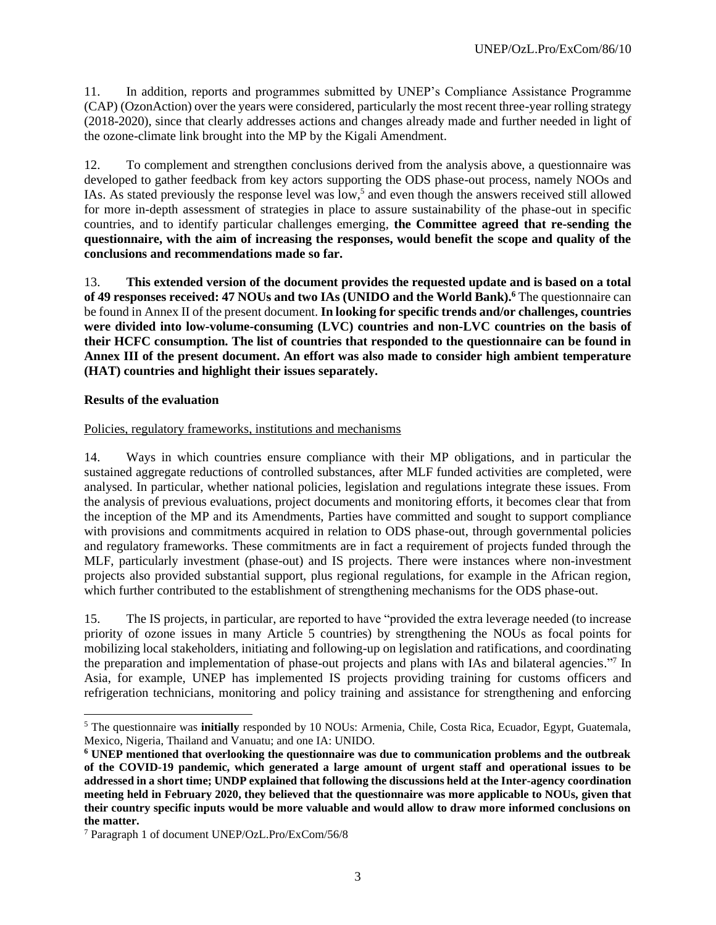11. In addition, reports and programmes submitted by UNEP's Compliance Assistance Programme (CAP) (OzonAction) over the years were considered, particularly the most recent three-year rolling strategy (2018-2020), since that clearly addresses actions and changes already made and further needed in light of the ozone-climate link brought into the MP by the Kigali Amendment.

12. To complement and strengthen conclusions derived from the analysis above, a questionnaire was developed to gather feedback from key actors supporting the ODS phase-out process, namely NOOs and IAs. As stated previously the response level was low,<sup>5</sup> and even though the answers received still allowed for more in-depth assessment of strategies in place to assure sustainability of the phase-out in specific countries, and to identify particular challenges emerging, **the Committee agreed that re-sending the questionnaire, with the aim of increasing the responses, would benefit the scope and quality of the conclusions and recommendations made so far.** 

13. **This extended version of the document provides the requested update and is based on a total of 49 responses received: 47 NOUs and two IAs (UNIDO and the World Bank).<sup>6</sup>** The questionnaire can be found in Annex II of the present document. **In looking for specific trends and/or challenges, countries were divided into low-volume-consuming (LVC) countries and non-LVC countries on the basis of their HCFC consumption. The list of countries that responded to the questionnaire can be found in Annex III of the present document. An effort was also made to consider high ambient temperature (HAT) countries and highlight their issues separately.** 

#### **Results of the evaluation**

#### Policies, regulatory frameworks, institutions and mechanisms

14. Ways in which countries ensure compliance with their MP obligations, and in particular the sustained aggregate reductions of controlled substances, after MLF funded activities are completed, were analysed. In particular, whether national policies, legislation and regulations integrate these issues. From the analysis of previous evaluations, project documents and monitoring efforts, it becomes clear that from the inception of the MP and its Amendments, Parties have committed and sought to support compliance with provisions and commitments acquired in relation to ODS phase-out, through governmental policies and regulatory frameworks. These commitments are in fact a requirement of projects funded through the MLF, particularly investment (phase-out) and IS projects. There were instances where non-investment projects also provided substantial support, plus regional regulations, for example in the African region, which further contributed to the establishment of strengthening mechanisms for the ODS phase-out.

15. The IS projects, in particular, are reported to have "provided the extra leverage needed (to increase priority of ozone issues in many Article 5 countries) by strengthening the NOUs as focal points for mobilizing local stakeholders, initiating and following-up on legislation and ratifications, and coordinating the preparation and implementation of phase-out projects and plans with IAs and bilateral agencies."7 In Asia, for example, UNEP has implemented IS projects providing training for customs officers and refrigeration technicians, monitoring and policy training and assistance for strengthening and enforcing

<sup>5</sup> The questionnaire was **initially** responded by 10 NOUs: Armenia, Chile, Costa Rica, Ecuador, Egypt, Guatemala, Mexico, Nigeria, Thailand and Vanuatu; and one IA: UNIDO.

**<sup>6</sup> UNEP mentioned that overlooking the questionnaire was due to communication problems and the outbreak of the COVID-19 pandemic, which generated a large amount of urgent staff and operational issues to be addressed in a short time; UNDP explained that following the discussions held at the Inter-agency coordination meeting held in February 2020, they believed that the questionnaire was more applicable to NOUs, given that their country specific inputs would be more valuable and would allow to draw more informed conclusions on the matter.**

<sup>7</sup> Paragraph 1 of document UNEP/OzL.Pro/ExCom/56/8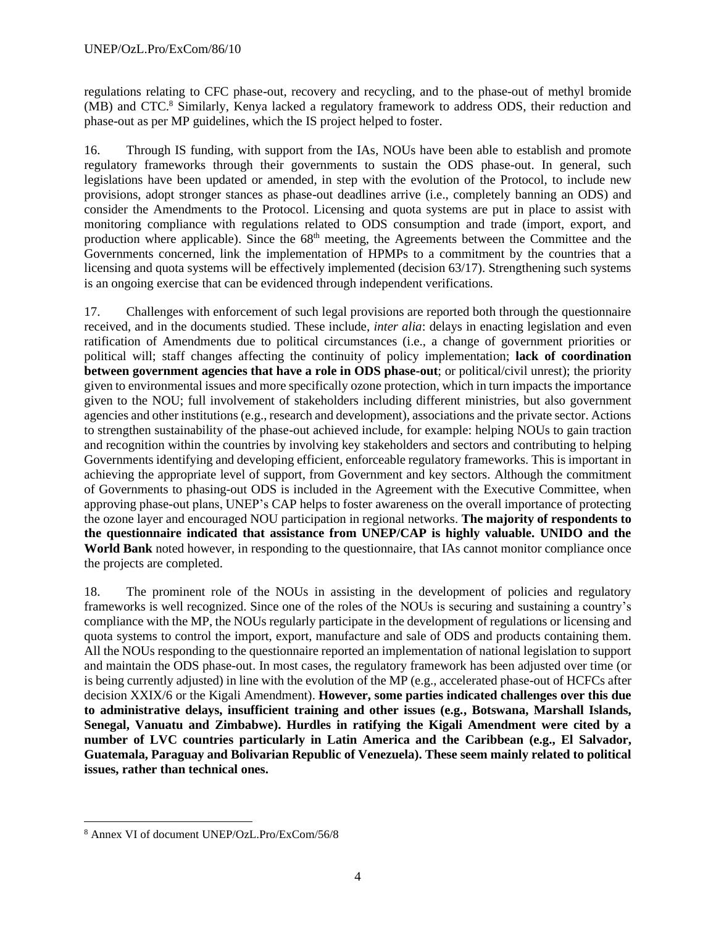regulations relating to CFC phase-out, recovery and recycling, and to the phase-out of methyl bromide (MB) and CTC.<sup>8</sup> Similarly, Kenya lacked a regulatory framework to address ODS, their reduction and phase-out as per MP guidelines, which the IS project helped to foster.

16. Through IS funding, with support from the IAs, NOUs have been able to establish and promote regulatory frameworks through their governments to sustain the ODS phase-out. In general, such legislations have been updated or amended, in step with the evolution of the Protocol, to include new provisions, adopt stronger stances as phase-out deadlines arrive (i.e., completely banning an ODS) and consider the Amendments to the Protocol. Licensing and quota systems are put in place to assist with monitoring compliance with regulations related to ODS consumption and trade (import, export, and production where applicable). Since the 68<sup>th</sup> meeting, the Agreements between the Committee and the Governments concerned, link the implementation of HPMPs to a commitment by the countries that a licensing and quota systems will be effectively implemented (decision 63/17). Strengthening such systems is an ongoing exercise that can be evidenced through independent verifications.

17. Challenges with enforcement of such legal provisions are reported both through the questionnaire received, and in the documents studied. These include, *inter alia*: delays in enacting legislation and even ratification of Amendments due to political circumstances (i.e., a change of government priorities or political will; staff changes affecting the continuity of policy implementation; **lack of coordination between government agencies that have a role in ODS phase-out**; or political/civil unrest); the priority given to environmental issues and more specifically ozone protection, which in turn impacts the importance given to the NOU; full involvement of stakeholders including different ministries, but also government agencies and other institutions (e.g., research and development), associations and the private sector. Actions to strengthen sustainability of the phase-out achieved include, for example: helping NOUs to gain traction and recognition within the countries by involving key stakeholders and sectors and contributing to helping Governments identifying and developing efficient, enforceable regulatory frameworks. This is important in achieving the appropriate level of support, from Government and key sectors. Although the commitment of Governments to phasing-out ODS is included in the Agreement with the Executive Committee, when approving phase-out plans, UNEP's CAP helps to foster awareness on the overall importance of protecting the ozone layer and encouraged NOU participation in regional networks. **The majority of respondents to the questionnaire indicated that assistance from UNEP/CAP is highly valuable. UNIDO and the World Bank** noted however, in responding to the questionnaire, that IAs cannot monitor compliance once the projects are completed.

18. The prominent role of the NOUs in assisting in the development of policies and regulatory frameworks is well recognized. Since one of the roles of the NOUs is securing and sustaining a country's compliance with the MP, the NOUs regularly participate in the development of regulations or licensing and quota systems to control the import, export, manufacture and sale of ODS and products containing them. All the NOUs responding to the questionnaire reported an implementation of national legislation to support and maintain the ODS phase-out. In most cases, the regulatory framework has been adjusted over time (or is being currently adjusted) in line with the evolution of the MP (e.g., accelerated phase-out of HCFCs after decision XXIX/6 or the Kigali Amendment). **However, some parties indicated challenges over this due to administrative delays, insufficient training and other issues (e.g., Botswana, Marshall Islands, Senegal, Vanuatu and Zimbabwe). Hurdles in ratifying the Kigali Amendment were cited by a number of LVC countries particularly in Latin America and the Caribbean (e.g., El Salvador, Guatemala, Paraguay and Bolivarian Republic of Venezuela). These seem mainly related to political issues, rather than technical ones.** 

<sup>8</sup> Annex VI of document UNEP/OzL.Pro/ExCom/56/8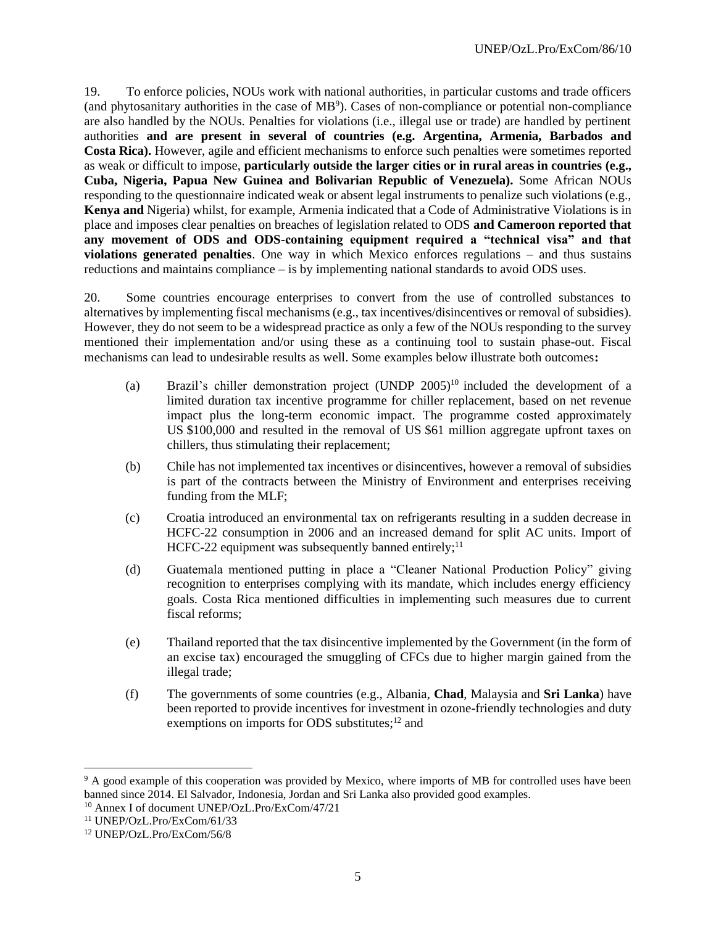19. To enforce policies, NOUs work with national authorities, in particular customs and trade officers (and phytosanitary authorities in the case of  $MB<sup>9</sup>$ ). Cases of non-compliance or potential non-compliance are also handled by the NOUs. Penalties for violations (i.e., illegal use or trade) are handled by pertinent authorities **and are present in several of countries (e.g. Argentina, Armenia, Barbados and Costa Rica).** However, agile and efficient mechanisms to enforce such penalties were sometimes reported as weak or difficult to impose, **particularly outside the larger cities or in rural areas in countries (e.g., Cuba, Nigeria, Papua New Guinea and Bolivarian Republic of Venezuela).** Some African NOUs responding to the questionnaire indicated weak or absent legal instruments to penalize such violations (e.g., **Kenya and** Nigeria) whilst, for example, Armenia indicated that a Code of Administrative Violations is in place and imposes clear penalties on breaches of legislation related to ODS **and Cameroon reported that any movement of ODS and ODS-containing equipment required a "technical visa" and that violations generated penalties**. One way in which Mexico enforces regulations – and thus sustains reductions and maintains compliance – is by implementing national standards to avoid ODS uses.

20. Some countries encourage enterprises to convert from the use of controlled substances to alternatives by implementing fiscal mechanisms (e.g., tax incentives/disincentives or removal of subsidies). However, they do not seem to be a widespread practice as only a few of the NOUs responding to the survey mentioned their implementation and/or using these as a continuing tool to sustain phase-out. Fiscal mechanisms can lead to undesirable results as well. Some examples below illustrate both outcomes**:**

- (a) Brazil's chiller demonstration project  $(UNDP 2005)^{10}$  included the development of a limited duration tax incentive programme for chiller replacement, based on net revenue impact plus the long-term economic impact. The programme costed approximately US \$100,000 and resulted in the removal of US \$61 million aggregate upfront taxes on chillers, thus stimulating their replacement;
- (b) Chile has not implemented tax incentives or disincentives, however a removal of subsidies is part of the contracts between the Ministry of Environment and enterprises receiving funding from the MLF;
- (c) Croatia introduced an environmental tax on refrigerants resulting in a sudden decrease in HCFC-22 consumption in 2006 and an increased demand for split AC units. Import of HCFC-22 equipment was subsequently banned entirely;<sup>11</sup>
- (d) Guatemala mentioned putting in place a "Cleaner National Production Policy" giving recognition to enterprises complying with its mandate, which includes energy efficiency goals. Costa Rica mentioned difficulties in implementing such measures due to current fiscal reforms;
- (e) Thailand reported that the tax disincentive implemented by the Government (in the form of an excise tax) encouraged the smuggling of CFCs due to higher margin gained from the illegal trade;
- (f) The governments of some countries (e.g., Albania, **Chad**, Malaysia and **Sri Lanka**) have been reported to provide incentives for investment in ozone-friendly technologies and duty exemptions on imports for ODS substitutes;<sup>12</sup> and

<sup>&</sup>lt;sup>9</sup> A good example of this cooperation was provided by Mexico, where imports of MB for controlled uses have been banned since 2014. El Salvador, Indonesia, Jordan and Sri Lanka also provided good examples.

<sup>10</sup> Annex I of document UNEP/OzL.Pro/ExCom/47/21

<sup>11</sup> UNEP/OzL.Pro/ExCom/61/33

<sup>12</sup> UNEP/OzL.Pro/ExCom/56/8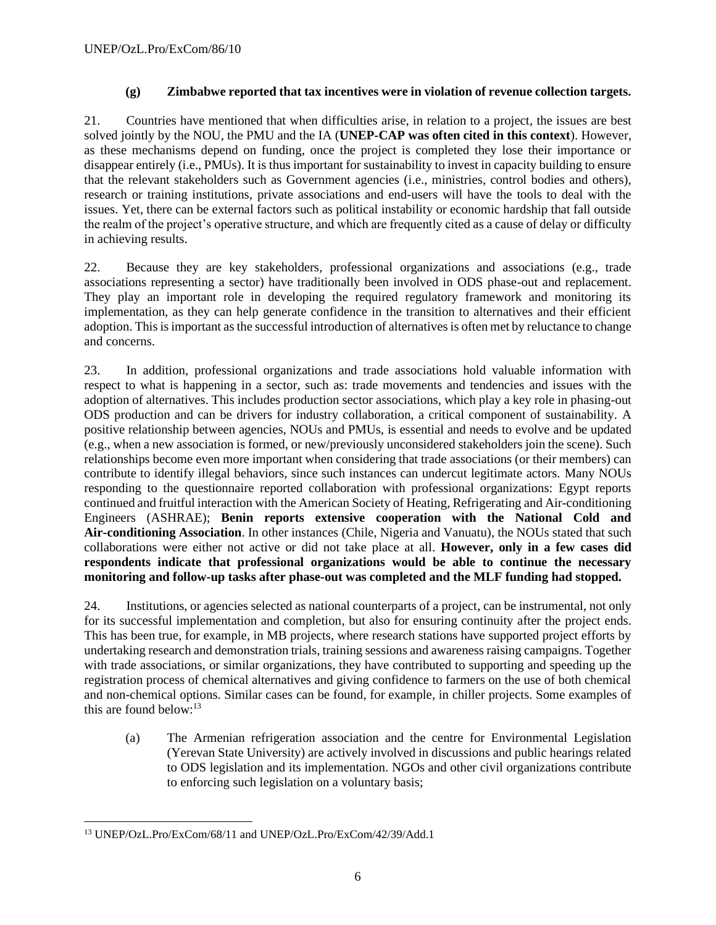#### **(g) Zimbabwe reported that tax incentives were in violation of revenue collection targets.**

21. Countries have mentioned that when difficulties arise, in relation to a project, the issues are best solved jointly by the NOU, the PMU and the IA (**UNEP-CAP was often cited in this context**). However, as these mechanisms depend on funding, once the project is completed they lose their importance or disappear entirely (i.e., PMUs). It is thus important for sustainability to invest in capacity building to ensure that the relevant stakeholders such as Government agencies (i.e., ministries, control bodies and others), research or training institutions, private associations and end-users will have the tools to deal with the issues. Yet, there can be external factors such as political instability or economic hardship that fall outside the realm of the project's operative structure, and which are frequently cited as a cause of delay or difficulty in achieving results.

22. Because they are key stakeholders, professional organizations and associations (e.g., trade associations representing a sector) have traditionally been involved in ODS phase-out and replacement. They play an important role in developing the required regulatory framework and monitoring its implementation, as they can help generate confidence in the transition to alternatives and their efficient adoption. This is important as the successful introduction of alternatives is often met by reluctance to change and concerns.

23. In addition, professional organizations and trade associations hold valuable information with respect to what is happening in a sector, such as: trade movements and tendencies and issues with the adoption of alternatives. This includes production sector associations, which play a key role in phasing-out ODS production and can be drivers for industry collaboration, a critical component of sustainability. A positive relationship between agencies, NOUs and PMUs, is essential and needs to evolve and be updated (e.g., when a new association is formed, or new/previously unconsidered stakeholders join the scene). Such relationships become even more important when considering that trade associations (or their members) can contribute to identify illegal behaviors, since such instances can undercut legitimate actors. Many NOUs responding to the questionnaire reported collaboration with professional organizations: Egypt reports continued and fruitful interaction with the American Society of Heating, Refrigerating and Air-conditioning Engineers (ASHRAE); **Benin reports extensive cooperation with the National Cold and Air-conditioning Association**. In other instances (Chile, Nigeria and Vanuatu), the NOUs stated that such collaborations were either not active or did not take place at all. **However, only in a few cases did respondents indicate that professional organizations would be able to continue the necessary monitoring and follow-up tasks after phase-out was completed and the MLF funding had stopped.**

24. Institutions, or agencies selected as national counterparts of a project, can be instrumental, not only for its successful implementation and completion, but also for ensuring continuity after the project ends. This has been true, for example, in MB projects, where research stations have supported project efforts by undertaking research and demonstration trials, training sessions and awareness raising campaigns. Together with trade associations, or similar organizations, they have contributed to supporting and speeding up the registration process of chemical alternatives and giving confidence to farmers on the use of both chemical and non-chemical options. Similar cases can be found, for example, in chiller projects. Some examples of this are found below: 13

(a) The Armenian refrigeration association and the centre for Environmental Legislation (Yerevan State University) are actively involved in discussions and public hearings related to ODS legislation and its implementation. NGOs and other civil organizations contribute to enforcing such legislation on a voluntary basis;

<sup>13</sup> UNEP/OzL.Pro/ExCom/68/11 and UNEP/OzL.Pro/ExCom/42/39/Add.1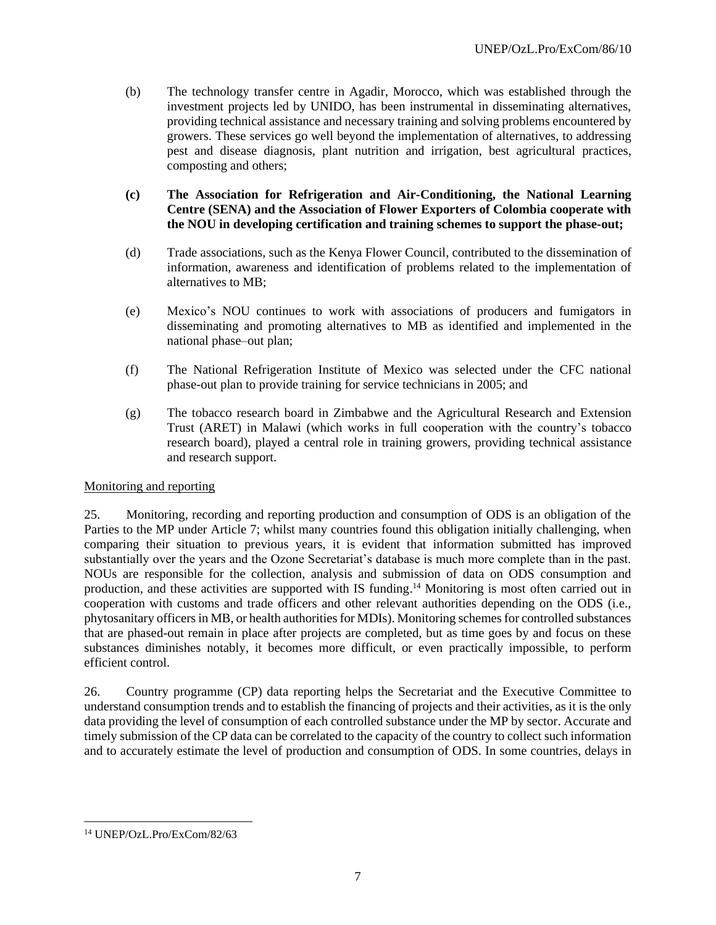- (b) The technology transfer centre in Agadir, Morocco, which was established through the investment projects led by UNIDO, has been instrumental in disseminating alternatives, providing technical assistance and necessary training and solving problems encountered by growers. These services go well beyond the implementation of alternatives, to addressing pest and disease diagnosis, plant nutrition and irrigation, best agricultural practices, composting and others;
- **(c) The Association for Refrigeration and Air-Conditioning, the National Learning Centre (SENA) and the Association of Flower Exporters of Colombia cooperate with the NOU in developing certification and training schemes to support the phase-out;**
- (d) Trade associations, such as the Kenya Flower Council, contributed to the dissemination of information, awareness and identification of problems related to the implementation of alternatives to MB;
- (e) Mexico's NOU continues to work with associations of producers and fumigators in disseminating and promoting alternatives to MB as identified and implemented in the national phase–out plan;
- (f) The National Refrigeration Institute of Mexico was selected under the CFC national phase-out plan to provide training for service technicians in 2005; and
- (g) The tobacco research board in Zimbabwe and the Agricultural Research and Extension Trust (ARET) in Malawi (which works in full cooperation with the country's tobacco research board), played a central role in training growers, providing technical assistance and research support.

## Monitoring and reporting

25. Monitoring, recording and reporting production and consumption of ODS is an obligation of the Parties to the MP under Article 7; whilst many countries found this obligation initially challenging, when comparing their situation to previous years, it is evident that information submitted has improved substantially over the years and the Ozone Secretariat's database is much more complete than in the past. NOUs are responsible for the collection, analysis and submission of data on ODS consumption and production, and these activities are supported with IS funding.<sup>14</sup> Monitoring is most often carried out in cooperation with customs and trade officers and other relevant authorities depending on the ODS (i.e., phytosanitary officers in MB, or health authorities for MDIs). Monitoring schemes for controlled substances that are phased-out remain in place after projects are completed, but as time goes by and focus on these substances diminishes notably, it becomes more difficult, or even practically impossible, to perform efficient control.

26. Country programme (CP) data reporting helps the Secretariat and the Executive Committee to understand consumption trends and to establish the financing of projects and their activities, as it is the only data providing the level of consumption of each controlled substance under the MP by sector. Accurate and timely submission of the CP data can be correlated to the capacity of the country to collect such information and to accurately estimate the level of production and consumption of ODS. In some countries, delays in

<sup>14</sup> UNEP/OzL.Pro/ExCom/82/63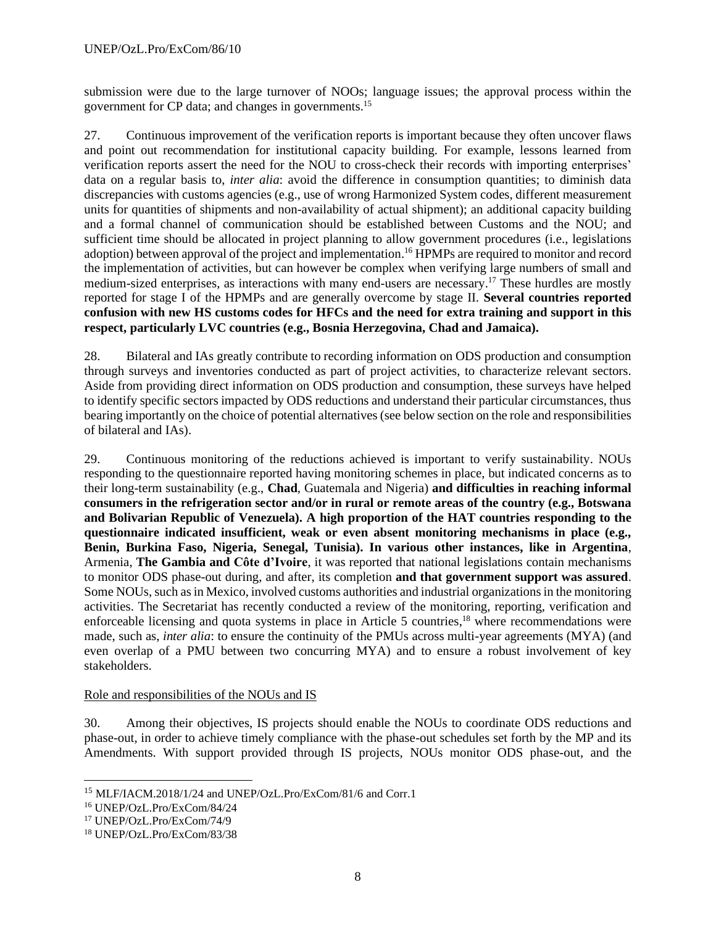submission were due to the large turnover of NOOs; language issues; the approval process within the government for CP data; and changes in governments. 15

27. Continuous improvement of the verification reports is important because they often uncover flaws and point out recommendation for institutional capacity building. For example, lessons learned from verification reports assert the need for the NOU to cross-check their records with importing enterprises' data on a regular basis to, *inter alia*: avoid the difference in consumption quantities; to diminish data discrepancies with customs agencies (e.g., use of wrong Harmonized System codes, different measurement units for quantities of shipments and non-availability of actual shipment); an additional capacity building and a formal channel of communication should be established between Customs and the NOU; and sufficient time should be allocated in project planning to allow government procedures (i.e., legislations adoption) between approval of the project and implementation. <sup>16</sup> HPMPs are required to monitor and record the implementation of activities, but can however be complex when verifying large numbers of small and medium-sized enterprises, as interactions with many end-users are necessary.<sup>17</sup> These hurdles are mostly reported for stage I of the HPMPs and are generally overcome by stage II. **Several countries reported confusion with new HS customs codes for HFCs and the need for extra training and support in this respect, particularly LVC countries (e.g., Bosnia Herzegovina, Chad and Jamaica).**

28. Bilateral and IAs greatly contribute to recording information on ODS production and consumption through surveys and inventories conducted as part of project activities, to characterize relevant sectors. Aside from providing direct information on ODS production and consumption, these surveys have helped to identify specific sectors impacted by ODS reductions and understand their particular circumstances, thus bearing importantly on the choice of potential alternatives (see below section on the role and responsibilities of bilateral and IAs).

29. Continuous monitoring of the reductions achieved is important to verify sustainability. NOUs responding to the questionnaire reported having monitoring schemes in place, but indicated concerns as to their long-term sustainability (e.g., **Chad**, Guatemala and Nigeria) **and difficulties in reaching informal consumers in the refrigeration sector and/or in rural or remote areas of the country (e.g., Botswana and Bolivarian Republic of Venezuela). A high proportion of the HAT countries responding to the questionnaire indicated insufficient, weak or even absent monitoring mechanisms in place (e.g., Benin, Burkina Faso, Nigeria, Senegal, Tunisia). In various other instances, like in Argentina**, Armenia, **The Gambia and Côte d'Ivoire**, it was reported that national legislations contain mechanisms to monitor ODS phase-out during, and after, its completion **and that government support was assured**. Some NOUs, such as in Mexico, involved customs authorities and industrial organizations in the monitoring activities. The Secretariat has recently conducted a review of the monitoring, reporting, verification and enforceable licensing and quota systems in place in Article 5 countries,<sup>18</sup> where recommendations were made, such as, *inter alia*: to ensure the continuity of the PMUs across multi-year agreements (MYA) (and even overlap of a PMU between two concurring MYA) and to ensure a robust involvement of key stakeholders.

## Role and responsibilities of the NOUs and IS

30. Among their objectives, IS projects should enable the NOUs to coordinate ODS reductions and phase-out, in order to achieve timely compliance with the phase-out schedules set forth by the MP and its Amendments. With support provided through IS projects, NOUs monitor ODS phase-out, and the

<sup>15</sup> MLF/IACM.2018/1/24 and UNEP/OzL.Pro/ExCom/81/6 and Corr.1

<sup>16</sup> UNEP/OzL.Pro/ExCom/84/24

<sup>17</sup> UNEP/OzL.Pro/ExCom/74/9

<sup>18</sup> UNEP/OzL.Pro/ExCom/83/38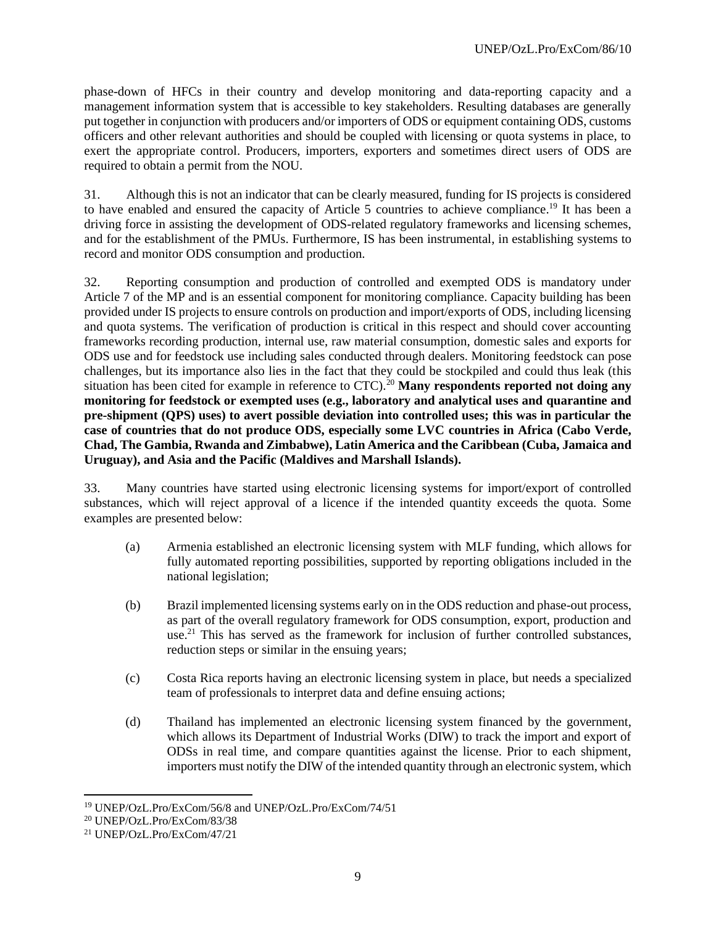phase-down of HFCs in their country and develop monitoring and data-reporting capacity and a management information system that is accessible to key stakeholders. Resulting databases are generally put together in conjunction with producers and/or importers of ODS or equipment containing ODS, customs officers and other relevant authorities and should be coupled with licensing or quota systems in place, to exert the appropriate control. Producers, importers, exporters and sometimes direct users of ODS are required to obtain a permit from the NOU.

31. Although this is not an indicator that can be clearly measured, funding for IS projects is considered to have enabled and ensured the capacity of Article 5 countries to achieve compliance.<sup>19</sup> It has been a driving force in assisting the development of ODS-related regulatory frameworks and licensing schemes, and for the establishment of the PMUs. Furthermore, IS has been instrumental, in establishing systems to record and monitor ODS consumption and production.

32. Reporting consumption and production of controlled and exempted ODS is mandatory under Article 7 of the MP and is an essential component for monitoring compliance. Capacity building has been provided under IS projects to ensure controls on production and import/exports of ODS, including licensing and quota systems. The verification of production is critical in this respect and should cover accounting frameworks recording production, internal use, raw material consumption, domestic sales and exports for ODS use and for feedstock use including sales conducted through dealers. Monitoring feedstock can pose challenges, but its importance also lies in the fact that they could be stockpiled and could thus leak (this situation has been cited for example in reference to CTC).<sup>20</sup> Many respondents reported not doing any **monitoring for feedstock or exempted uses (e.g., laboratory and analytical uses and quarantine and pre-shipment (QPS) uses) to avert possible deviation into controlled uses; this was in particular the case of countries that do not produce ODS, especially some LVC countries in Africa (Cabo Verde, Chad, The Gambia, Rwanda and Zimbabwe), Latin America and the Caribbean (Cuba, Jamaica and Uruguay), and Asia and the Pacific (Maldives and Marshall Islands).**

33. Many countries have started using electronic licensing systems for import/export of controlled substances, which will reject approval of a licence if the intended quantity exceeds the quota. Some examples are presented below:

- (a) Armenia established an electronic licensing system with MLF funding, which allows for fully automated reporting possibilities, supported by reporting obligations included in the national legislation;
- (b) Brazil implemented licensing systems early on in the ODS reduction and phase-out process, as part of the overall regulatory framework for ODS consumption, export, production and use. <sup>21</sup> This has served as the framework for inclusion of further controlled substances, reduction steps or similar in the ensuing years;
- (c) Costa Rica reports having an electronic licensing system in place, but needs a specialized team of professionals to interpret data and define ensuing actions;
- (d) Thailand has implemented an electronic licensing system financed by the government, which allows its Department of Industrial Works (DIW) to track the import and export of ODSs in real time, and compare quantities against the license. Prior to each shipment, importers must notify the DIW of the intended quantity through an electronic system, which

<sup>19</sup> UNEP/OzL.Pro/ExCom/56/8 and UNEP/OzL.Pro/ExCom/74/51

<sup>20</sup> UNEP/OzL.Pro/ExCom/83/38

<sup>21</sup> UNEP/OzL.Pro/ExCom/47/21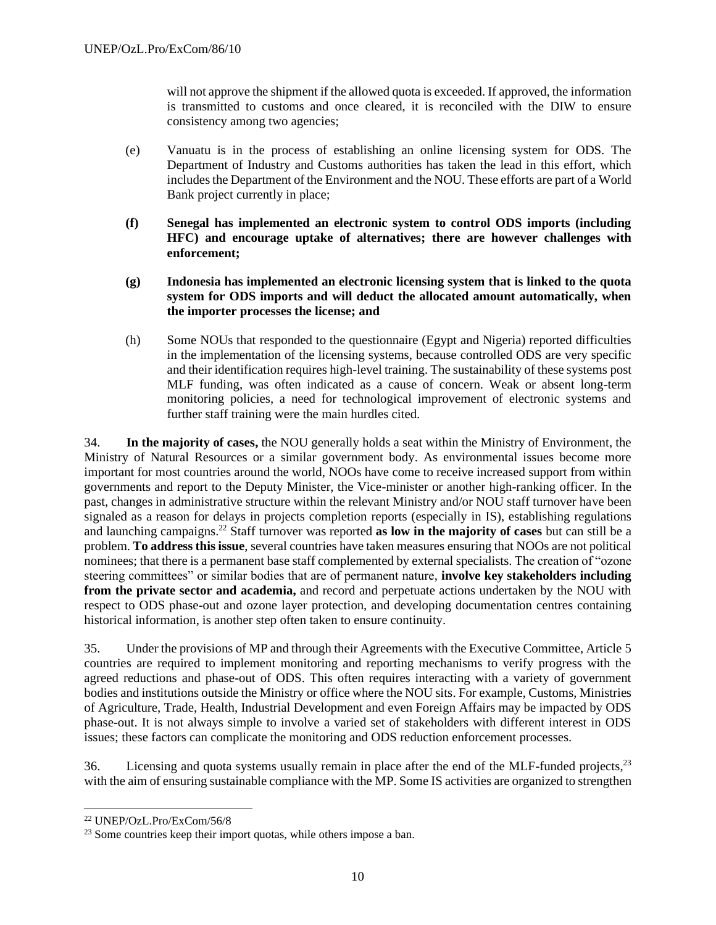will not approve the shipment if the allowed quota is exceeded. If approved, the information is transmitted to customs and once cleared, it is reconciled with the DIW to ensure consistency among two agencies;

- (e) Vanuatu is in the process of establishing an online licensing system for ODS. The Department of Industry and Customs authorities has taken the lead in this effort, which includes the Department of the Environment and the NOU. These efforts are part of a World Bank project currently in place;
- **(f) Senegal has implemented an electronic system to control ODS imports (including HFC) and encourage uptake of alternatives; there are however challenges with enforcement;**
- **(g) Indonesia has implemented an electronic licensing system that is linked to the quota system for ODS imports and will deduct the allocated amount automatically, when the importer processes the license; and**
- (h) Some NOUs that responded to the questionnaire (Egypt and Nigeria) reported difficulties in the implementation of the licensing systems, because controlled ODS are very specific and their identification requires high-level training. The sustainability of these systems post MLF funding, was often indicated as a cause of concern. Weak or absent long-term monitoring policies, a need for technological improvement of electronic systems and further staff training were the main hurdles cited.

34. **In the majority of cases,** the NOU generally holds a seat within the Ministry of Environment, the Ministry of Natural Resources or a similar government body. As environmental issues become more important for most countries around the world, NOOs have come to receive increased support from within governments and report to the Deputy Minister, the Vice-minister or another high-ranking officer. In the past, changes in administrative structure within the relevant Ministry and/or NOU staff turnover have been signaled as a reason for delays in projects completion reports (especially in IS), establishing regulations and launching campaigns. <sup>22</sup> Staff turnover was reported **as low in the majority of cases** but can still be a problem. **To address this issue**, several countries have taken measures ensuring that NOOs are not political nominees; that there is a permanent base staff complemented by external specialists. The creation of "ozone steering committees" or similar bodies that are of permanent nature, **involve key stakeholders including from the private sector and academia,** and record and perpetuate actions undertaken by the NOU with respect to ODS phase-out and ozone layer protection, and developing documentation centres containing historical information, is another step often taken to ensure continuity.

35. Under the provisions of MP and through their Agreements with the Executive Committee, Article 5 countries are required to implement monitoring and reporting mechanisms to verify progress with the agreed reductions and phase-out of ODS. This often requires interacting with a variety of government bodies and institutions outside the Ministry or office where the NOU sits. For example, Customs, Ministries of Agriculture, Trade, Health, Industrial Development and even Foreign Affairs may be impacted by ODS phase-out. It is not always simple to involve a varied set of stakeholders with different interest in ODS issues; these factors can complicate the monitoring and ODS reduction enforcement processes.

36. Licensing and quota systems usually remain in place after the end of the MLF-funded projects,<sup>23</sup> with the aim of ensuring sustainable compliance with the MP. Some IS activities are organized to strengthen

<sup>22</sup> UNEP/OzL.Pro/ExCom/56/8

<sup>&</sup>lt;sup>23</sup> Some countries keep their import quotas, while others impose a ban.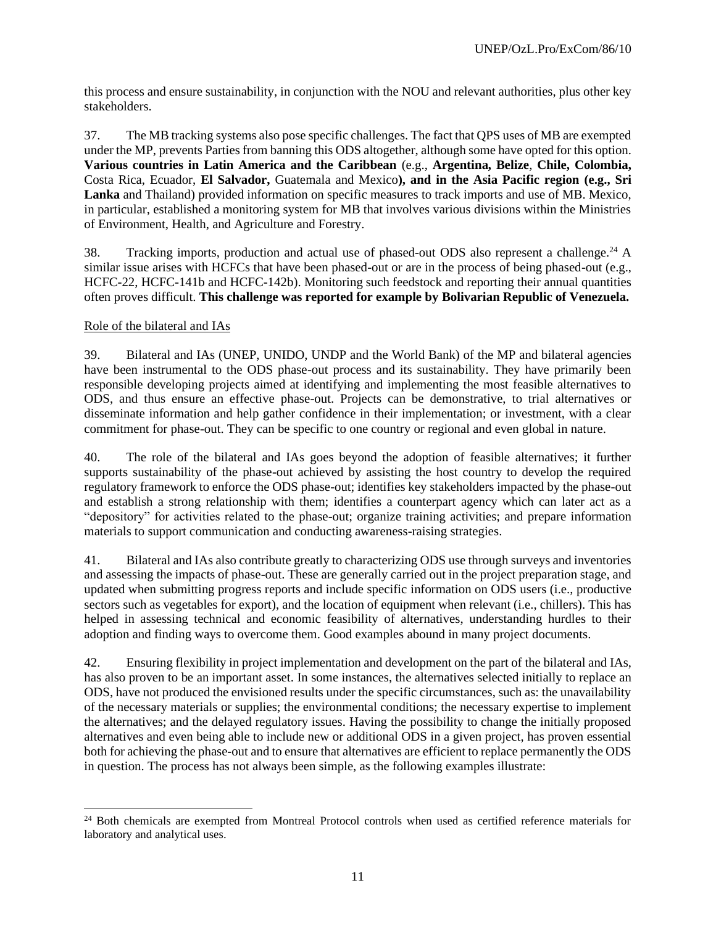this process and ensure sustainability, in conjunction with the NOU and relevant authorities, plus other key stakeholders.

37. The MB tracking systems also pose specific challenges. The fact that QPS uses of MB are exempted under the MP, prevents Parties from banning this ODS altogether, although some have opted for this option. **Various countries in Latin America and the Caribbean** (e.g., **Argentina, Belize**, **Chile, Colombia,**  Costa Rica, Ecuador, **El Salvador,** Guatemala and Mexico**), and in the Asia Pacific region (e.g., Sri Lanka** and Thailand) provided information on specific measures to track imports and use of MB. Mexico, in particular, established a monitoring system for MB that involves various divisions within the Ministries of Environment, Health, and Agriculture and Forestry.

38. Tracking imports, production and actual use of phased-out ODS also represent a challenge.<sup>24</sup> A similar issue arises with HCFCs that have been phased-out or are in the process of being phased-out (e.g., HCFC-22, HCFC-141b and HCFC-142b). Monitoring such feedstock and reporting their annual quantities often proves difficult. **This challenge was reported for example by Bolivarian Republic of Venezuela.**

#### Role of the bilateral and IAs

39. Bilateral and IAs (UNEP, UNIDO, UNDP and the World Bank) of the MP and bilateral agencies have been instrumental to the ODS phase-out process and its sustainability. They have primarily been responsible developing projects aimed at identifying and implementing the most feasible alternatives to ODS, and thus ensure an effective phase-out. Projects can be demonstrative, to trial alternatives or disseminate information and help gather confidence in their implementation; or investment, with a clear commitment for phase-out. They can be specific to one country or regional and even global in nature.

40. The role of the bilateral and IAs goes beyond the adoption of feasible alternatives; it further supports sustainability of the phase-out achieved by assisting the host country to develop the required regulatory framework to enforce the ODS phase-out; identifies key stakeholders impacted by the phase-out and establish a strong relationship with them; identifies a counterpart agency which can later act as a "depository" for activities related to the phase-out; organize training activities; and prepare information materials to support communication and conducting awareness-raising strategies.

41. Bilateral and IAs also contribute greatly to characterizing ODS use through surveys and inventories and assessing the impacts of phase-out. These are generally carried out in the project preparation stage, and updated when submitting progress reports and include specific information on ODS users (i.e., productive sectors such as vegetables for export), and the location of equipment when relevant (i.e., chillers). This has helped in assessing technical and economic feasibility of alternatives, understanding hurdles to their adoption and finding ways to overcome them. Good examples abound in many project documents.

42. Ensuring flexibility in project implementation and development on the part of the bilateral and IAs, has also proven to be an important asset. In some instances, the alternatives selected initially to replace an ODS, have not produced the envisioned results under the specific circumstances, such as: the unavailability of the necessary materials or supplies; the environmental conditions; the necessary expertise to implement the alternatives; and the delayed regulatory issues. Having the possibility to change the initially proposed alternatives and even being able to include new or additional ODS in a given project, has proven essential both for achieving the phase-out and to ensure that alternatives are efficient to replace permanently the ODS in question. The process has not always been simple, as the following examples illustrate:

<sup>&</sup>lt;sup>24</sup> Both chemicals are exempted from Montreal Protocol controls when used as certified reference materials for laboratory and analytical uses.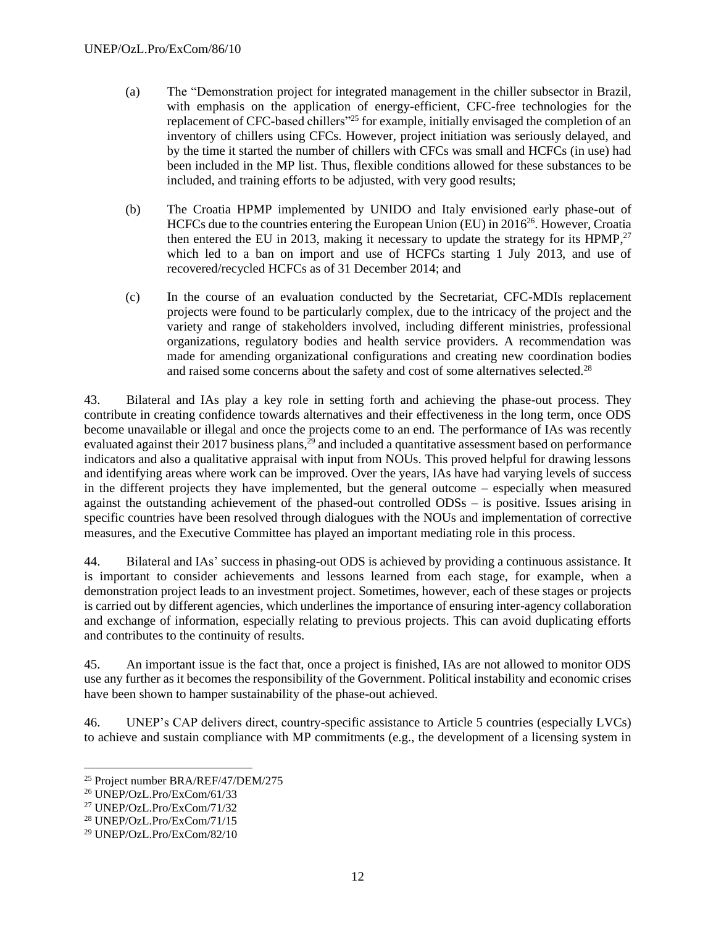- (a) The "Demonstration project for integrated management in the chiller subsector in Brazil, with emphasis on the application of energy-efficient, CFC-free technologies for the replacement of CFC-based chillers"<sup>25</sup> for example, initially envisaged the completion of an inventory of chillers using CFCs. However, project initiation was seriously delayed, and by the time it started the number of chillers with CFCs was small and HCFCs (in use) had been included in the MP list. Thus, flexible conditions allowed for these substances to be included, and training efforts to be adjusted, with very good results;
- (b) The Croatia HPMP implemented by UNIDO and Italy envisioned early phase-out of HCFCs due to the countries entering the European Union (EU) in  $2016^{26}$ . However, Croatia then entered the EU in 2013, making it necessary to update the strategy for its HPMP, $27$ which led to a ban on import and use of HCFCs starting 1 July 2013, and use of recovered/recycled HCFCs as of 31 December 2014; and
- (c) In the course of an evaluation conducted by the Secretariat, CFC-MDIs replacement projects were found to be particularly complex, due to the intricacy of the project and the variety and range of stakeholders involved, including different ministries, professional organizations, regulatory bodies and health service providers. A recommendation was made for amending organizational configurations and creating new coordination bodies and raised some concerns about the safety and cost of some alternatives selected.<sup>28</sup>

43. Bilateral and IAs play a key role in setting forth and achieving the phase-out process. They contribute in creating confidence towards alternatives and their effectiveness in the long term, once ODS become unavailable or illegal and once the projects come to an end. The performance of IAs was recently evaluated against their 2017 business plans,<sup>29</sup> and included a quantitative assessment based on performance indicators and also a qualitative appraisal with input from NOUs. This proved helpful for drawing lessons and identifying areas where work can be improved. Over the years, IAs have had varying levels of success in the different projects they have implemented, but the general outcome – especially when measured against the outstanding achievement of the phased-out controlled ODSs – is positive. Issues arising in specific countries have been resolved through dialogues with the NOUs and implementation of corrective measures, and the Executive Committee has played an important mediating role in this process.

44. Bilateral and IAs' success in phasing-out ODS is achieved by providing a continuous assistance. It is important to consider achievements and lessons learned from each stage, for example, when a demonstration project leads to an investment project. Sometimes, however, each of these stages or projects is carried out by different agencies, which underlines the importance of ensuring inter-agency collaboration and exchange of information, especially relating to previous projects. This can avoid duplicating efforts and contributes to the continuity of results.

45. An important issue is the fact that, once a project is finished, IAs are not allowed to monitor ODS use any further as it becomes the responsibility of the Government. Political instability and economic crises have been shown to hamper sustainability of the phase-out achieved.

46. UNEP's CAP delivers direct, country-specific assistance to Article 5 countries (especially LVCs) to achieve and sustain compliance with MP commitments (e.g., the development of a licensing system in

<sup>25</sup> Project number BRA/REF/47/DEM/275

<sup>26</sup> UNEP/OzL.Pro/ExCom/61/33

<sup>27</sup> UNEP/OzL.Pro/ExCom/71/32

<sup>28</sup> UNEP/OzL.Pro/ExCom/71/15

<sup>29</sup> UNEP/OzL.Pro/ExCom/82/10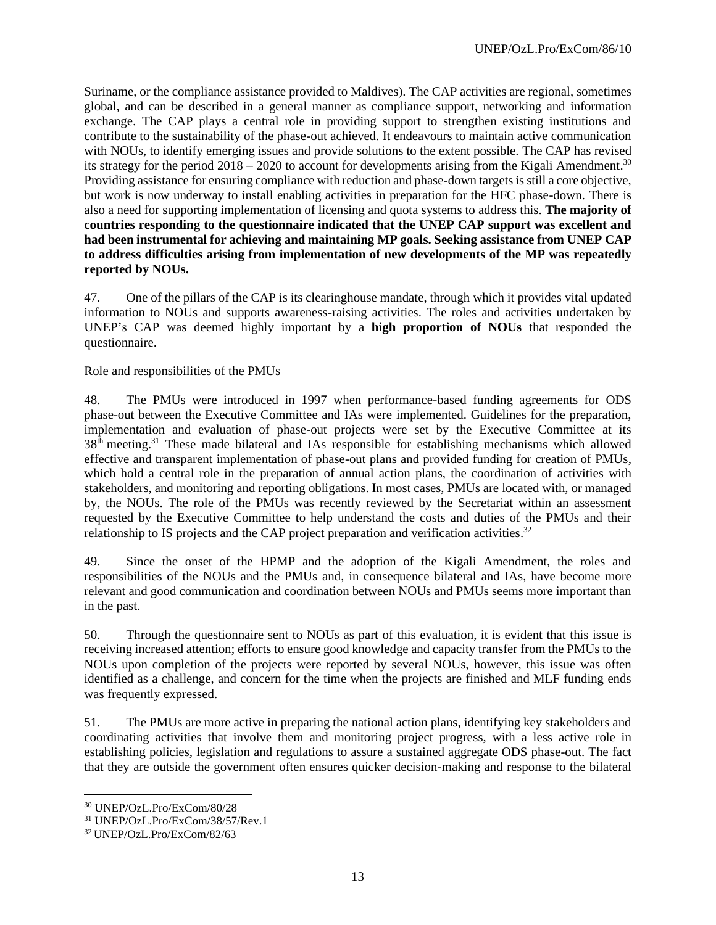Suriname, or the compliance assistance provided to Maldives). The CAP activities are regional, sometimes global, and can be described in a general manner as compliance support, networking and information exchange. The CAP plays a central role in providing support to strengthen existing institutions and contribute to the sustainability of the phase-out achieved. It endeavours to maintain active communication with NOUs, to identify emerging issues and provide solutions to the extent possible. The CAP has revised its strategy for the period  $2018 - 2020$  to account for developments arising from the Kigali Amendment.<sup>30</sup> Providing assistance for ensuring compliance with reduction and phase-down targets is still a core objective, but work is now underway to install enabling activities in preparation for the HFC phase-down. There is also a need for supporting implementation of licensing and quota systems to address this. **The majority of countries responding to the questionnaire indicated that the UNEP CAP support was excellent and had been instrumental for achieving and maintaining MP goals. Seeking assistance from UNEP CAP to address difficulties arising from implementation of new developments of the MP was repeatedly reported by NOUs.**

47. One of the pillars of the CAP is its clearinghouse mandate, through which it provides vital updated information to NOUs and supports awareness-raising activities. The roles and activities undertaken by UNEP's CAP was deemed highly important by a **high proportion of NOUs** that responded the questionnaire.

#### Role and responsibilities of the PMUs

48. The PMUs were introduced in 1997 when performance-based funding agreements for ODS phase-out between the Executive Committee and IAs were implemented. Guidelines for the preparation, implementation and evaluation of phase-out projects were set by the Executive Committee at its 38<sup>th</sup> meeting.<sup>31</sup> These made bilateral and IAs responsible for establishing mechanisms which allowed effective and transparent implementation of phase-out plans and provided funding for creation of PMUs, which hold a central role in the preparation of annual action plans, the coordination of activities with stakeholders, and monitoring and reporting obligations. In most cases, PMUs are located with, or managed by, the NOUs. The role of the PMUs was recently reviewed by the Secretariat within an assessment requested by the Executive Committee to help understand the costs and duties of the PMUs and their relationship to IS projects and the CAP project preparation and verification activities.<sup>32</sup>

49. Since the onset of the HPMP and the adoption of the Kigali Amendment, the roles and responsibilities of the NOUs and the PMUs and, in consequence bilateral and IAs, have become more relevant and good communication and coordination between NOUs and PMUs seems more important than in the past.

50. Through the questionnaire sent to NOUs as part of this evaluation, it is evident that this issue is receiving increased attention; efforts to ensure good knowledge and capacity transfer from the PMUs to the NOUs upon completion of the projects were reported by several NOUs, however, this issue was often identified as a challenge, and concern for the time when the projects are finished and MLF funding ends was frequently expressed.

51. The PMUs are more active in preparing the national action plans, identifying key stakeholders and coordinating activities that involve them and monitoring project progress, with a less active role in establishing policies, legislation and regulations to assure a sustained aggregate ODS phase-out. The fact that they are outside the government often ensures quicker decision-making and response to the bilateral

<sup>30</sup> UNEP/OzL.Pro/ExCom/80/28

<sup>31</sup> UNEP/OzL.Pro/ExCom/38/57/Rev.1

<sup>32</sup> UNEP/OzL.Pro/ExCom/82/63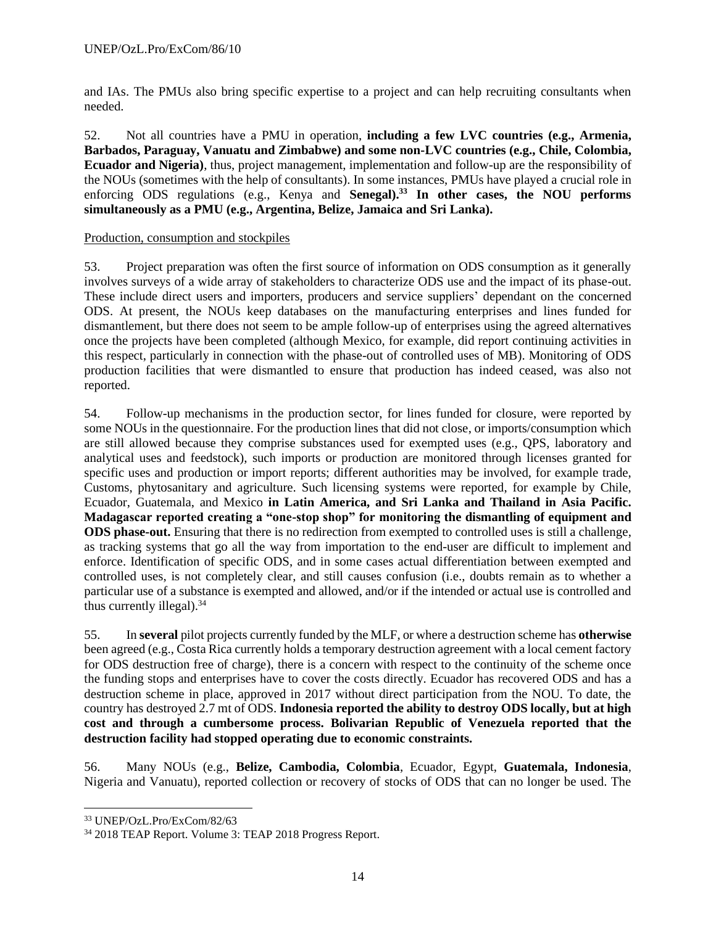and IAs. The PMUs also bring specific expertise to a project and can help recruiting consultants when needed.

52. Not all countries have a PMU in operation, **including a few LVC countries (e.g., Armenia, Barbados, Paraguay, Vanuatu and Zimbabwe) and some non-LVC countries (e.g., Chile, Colombia, Ecuador and Nigeria)**, thus, project management, implementation and follow-up are the responsibility of the NOUs (sometimes with the help of consultants). In some instances, PMUs have played a crucial role in enforcing ODS regulations (e.g., Kenya and **Senegal).<sup>33</sup> In other cases, the NOU performs simultaneously as a PMU (e.g., Argentina, Belize, Jamaica and Sri Lanka).** 

## Production, consumption and stockpiles

53. Project preparation was often the first source of information on ODS consumption as it generally involves surveys of a wide array of stakeholders to characterize ODS use and the impact of its phase-out. These include direct users and importers, producers and service suppliers' dependant on the concerned ODS. At present, the NOUs keep databases on the manufacturing enterprises and lines funded for dismantlement, but there does not seem to be ample follow-up of enterprises using the agreed alternatives once the projects have been completed (although Mexico, for example, did report continuing activities in this respect, particularly in connection with the phase-out of controlled uses of MB). Monitoring of ODS production facilities that were dismantled to ensure that production has indeed ceased, was also not reported.

54. Follow-up mechanisms in the production sector, for lines funded for closure, were reported by some NOUs in the questionnaire. For the production lines that did not close, or imports/consumption which are still allowed because they comprise substances used for exempted uses (e.g., QPS, laboratory and analytical uses and feedstock), such imports or production are monitored through licenses granted for specific uses and production or import reports; different authorities may be involved, for example trade, Customs, phytosanitary and agriculture. Such licensing systems were reported, for example by Chile, Ecuador, Guatemala, and Mexico **in Latin America, and Sri Lanka and Thailand in Asia Pacific. Madagascar reported creating a "one-stop shop" for monitoring the dismantling of equipment and ODS phase-out.** Ensuring that there is no redirection from exempted to controlled uses is still a challenge, as tracking systems that go all the way from importation to the end-user are difficult to implement and enforce. Identification of specific ODS, and in some cases actual differentiation between exempted and controlled uses, is not completely clear, and still causes confusion (i.e., doubts remain as to whether a particular use of a substance is exempted and allowed, and/or if the intended or actual use is controlled and thus currently illegal). $34$ 

55. In **several** pilot projects currently funded by the MLF, or where a destruction scheme has **otherwise** been agreed (e.g., Costa Rica currently holds a temporary destruction agreement with a local cement factory for ODS destruction free of charge), there is a concern with respect to the continuity of the scheme once the funding stops and enterprises have to cover the costs directly. Ecuador has recovered ODS and has a destruction scheme in place, approved in 2017 without direct participation from the NOU. To date, the country has destroyed 2.7 mt of ODS. **Indonesia reported the ability to destroy ODS locally, but at high cost and through a cumbersome process. Bolivarian Republic of Venezuela reported that the destruction facility had stopped operating due to economic constraints.**

56. Many NOUs (e.g., **Belize, Cambodia, Colombia**, Ecuador, Egypt, **Guatemala, Indonesia**, Nigeria and Vanuatu), reported collection or recovery of stocks of ODS that can no longer be used. The

<sup>33</sup> UNEP/OzL.Pro/ExCom/82/63

<sup>34</sup> 2018 TEAP Report. Volume 3: TEAP 2018 Progress Report.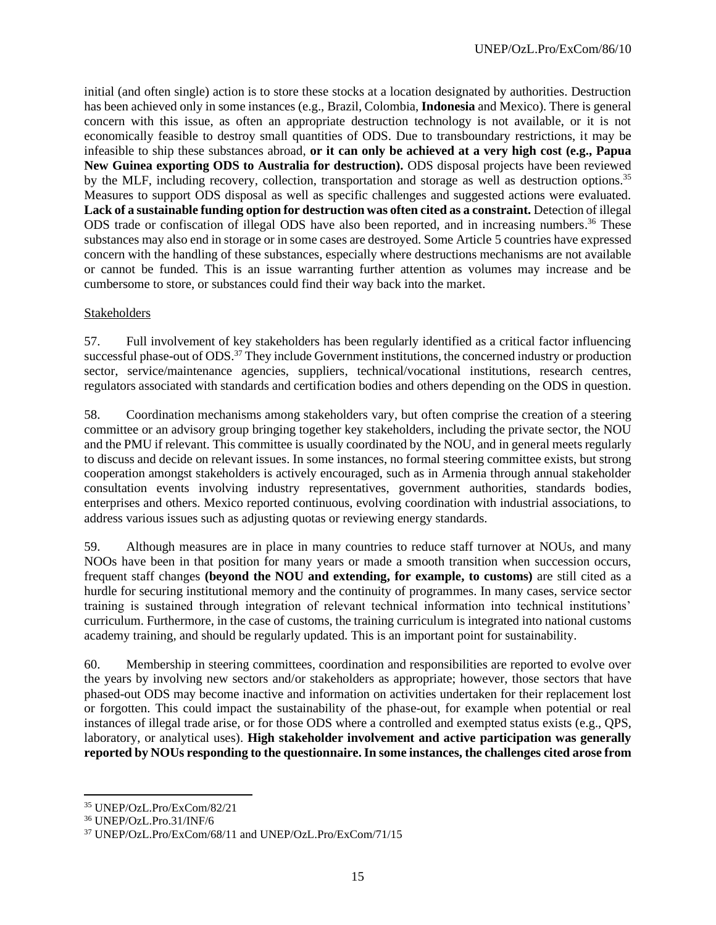initial (and often single) action is to store these stocks at a location designated by authorities. Destruction has been achieved only in some instances (e.g., Brazil, Colombia, **Indonesia** and Mexico). There is general concern with this issue, as often an appropriate destruction technology is not available, or it is not economically feasible to destroy small quantities of ODS. Due to transboundary restrictions, it may be infeasible to ship these substances abroad, **or it can only be achieved at a very high cost (e.g., Papua New Guinea exporting ODS to Australia for destruction).** ODS disposal projects have been reviewed by the MLF, including recovery, collection, transportation and storage as well as destruction options.<sup>35</sup> Measures to support ODS disposal as well as specific challenges and suggested actions were evaluated. **Lack of a sustainable funding option for destruction was often cited as a constraint.** Detection of illegal ODS trade or confiscation of illegal ODS have also been reported, and in increasing numbers.<sup>36</sup> These substances may also end in storage or in some cases are destroyed. Some Article 5 countries have expressed concern with the handling of these substances, especially where destructions mechanisms are not available or cannot be funded. This is an issue warranting further attention as volumes may increase and be cumbersome to store, or substances could find their way back into the market.

#### Stakeholders

57. Full involvement of key stakeholders has been regularly identified as a critical factor influencing successful phase-out of ODS.<sup>37</sup> They include Government institutions, the concerned industry or production sector, service/maintenance agencies, suppliers, technical/vocational institutions, research centres, regulators associated with standards and certification bodies and others depending on the ODS in question.

58. Coordination mechanisms among stakeholders vary, but often comprise the creation of a steering committee or an advisory group bringing together key stakeholders, including the private sector, the NOU and the PMU if relevant. This committee is usually coordinated by the NOU, and in general meets regularly to discuss and decide on relevant issues. In some instances, no formal steering committee exists, but strong cooperation amongst stakeholders is actively encouraged, such as in Armenia through annual stakeholder consultation events involving industry representatives, government authorities, standards bodies, enterprises and others. Mexico reported continuous, evolving coordination with industrial associations, to address various issues such as adjusting quotas or reviewing energy standards.

59. Although measures are in place in many countries to reduce staff turnover at NOUs, and many NOOs have been in that position for many years or made a smooth transition when succession occurs, frequent staff changes **(beyond the NOU and extending, for example, to customs)** are still cited as a hurdle for securing institutional memory and the continuity of programmes. In many cases, service sector training is sustained through integration of relevant technical information into technical institutions' curriculum. Furthermore, in the case of customs, the training curriculum is integrated into national customs academy training, and should be regularly updated. This is an important point for sustainability.

60. Membership in steering committees, coordination and responsibilities are reported to evolve over the years by involving new sectors and/or stakeholders as appropriate; however, those sectors that have phased-out ODS may become inactive and information on activities undertaken for their replacement lost or forgotten. This could impact the sustainability of the phase-out, for example when potential or real instances of illegal trade arise, or for those ODS where a controlled and exempted status exists (e.g., QPS, laboratory, or analytical uses). **High stakeholder involvement and active participation was generally reported by NOUs responding to the questionnaire. In some instances, the challenges cited arose from** 

<sup>35</sup> UNEP/OzL.Pro/ExCom/82/21

<sup>36</sup> UNEP/OzL.Pro.31/INF/6

<sup>37</sup> UNEP/OzL.Pro/ExCom/68/11 and UNEP/OzL.Pro/ExCom/71/15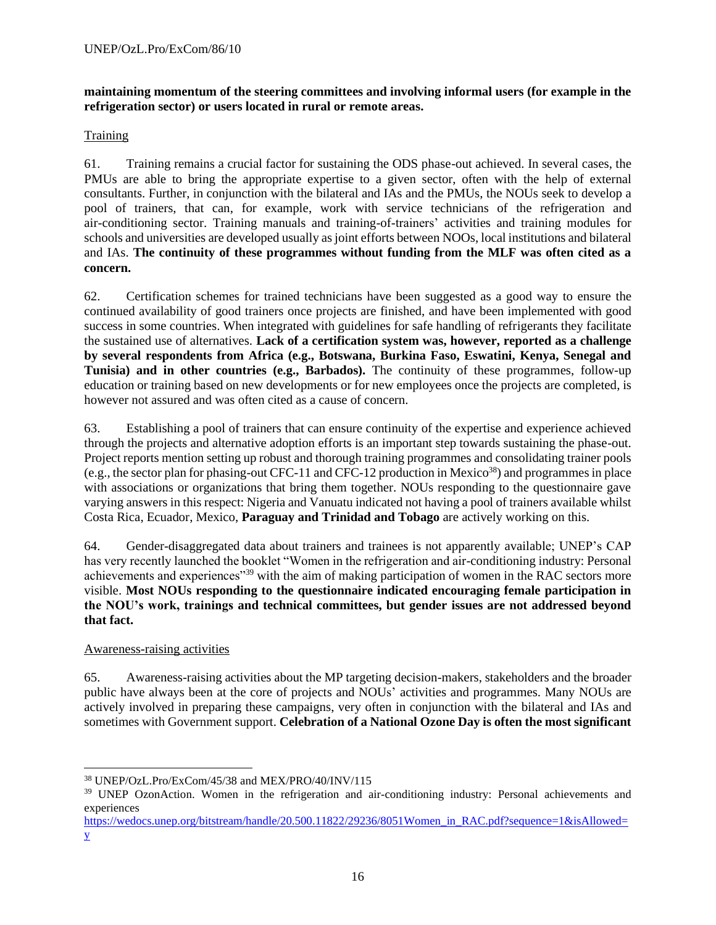## **maintaining momentum of the steering committees and involving informal users (for example in the refrigeration sector) or users located in rural or remote areas.**

#### **Training**

61. Training remains a crucial factor for sustaining the ODS phase-out achieved. In several cases, the PMUs are able to bring the appropriate expertise to a given sector, often with the help of external consultants. Further, in conjunction with the bilateral and IAs and the PMUs, the NOUs seek to develop a pool of trainers, that can, for example, work with service technicians of the refrigeration and air-conditioning sector. Training manuals and training-of-trainers' activities and training modules for schools and universities are developed usually as joint efforts between NOOs, local institutions and bilateral and IAs. **The continuity of these programmes without funding from the MLF was often cited as a concern.**

62. Certification schemes for trained technicians have been suggested as a good way to ensure the continued availability of good trainers once projects are finished, and have been implemented with good success in some countries. When integrated with guidelines for safe handling of refrigerants they facilitate the sustained use of alternatives. **Lack of a certification system was, however, reported as a challenge by several respondents from Africa (e.g., Botswana, Burkina Faso, Eswatini, Kenya, Senegal and Tunisia) and in other countries (e.g., Barbados).** The continuity of these programmes, follow-up education or training based on new developments or for new employees once the projects are completed, is however not assured and was often cited as a cause of concern.

63. Establishing a pool of trainers that can ensure continuity of the expertise and experience achieved through the projects and alternative adoption efforts is an important step towards sustaining the phase-out. Project reports mention setting up robust and thorough training programmes and consolidating trainer pools (e.g., the sector plan for phasing-out CFC-11 and CFC-12 production in Mexico<sup>38</sup>) and programmes in place with associations or organizations that bring them together. NOUs responding to the questionnaire gave varying answers in this respect: Nigeria and Vanuatu indicated not having a pool of trainers available whilst Costa Rica, Ecuador, Mexico, **Paraguay and Trinidad and Tobago** are actively working on this.

64. Gender-disaggregated data about trainers and trainees is not apparently available; UNEP's CAP has very recently launched the booklet "Women in the refrigeration and air-conditioning industry: Personal achievements and experiences<sup>"39</sup> with the aim of making participation of women in the RAC sectors more visible. **Most NOUs responding to the questionnaire indicated encouraging female participation in the NOU's work, trainings and technical committees, but gender issues are not addressed beyond that fact.**

## Awareness-raising activities

65. Awareness-raising activities about the MP targeting decision-makers, stakeholders and the broader public have always been at the core of projects and NOUs' activities and programmes. Many NOUs are actively involved in preparing these campaigns, very often in conjunction with the bilateral and IAs and sometimes with Government support. **Celebration of a National Ozone Day is often the most significant** 

<sup>38</sup> UNEP/OzL.Pro/ExCom/45/38 and MEX/PRO/40/INV/115

<sup>&</sup>lt;sup>39</sup> UNEP OzonAction. Women in the refrigeration and air-conditioning industry: Personal achievements and experiences

[https://wedocs.unep.org/bitstream/handle/20.500.11822/29236/8051Women\\_in\\_RAC.pdf?sequence=1&isAllowed=](https://wedocs.unep.org/bitstream/handle/20.500.11822/29236/8051Women_in_RAC.pdf?sequence=1&isAllowed=y) [y](https://wedocs.unep.org/bitstream/handle/20.500.11822/29236/8051Women_in_RAC.pdf?sequence=1&isAllowed=y)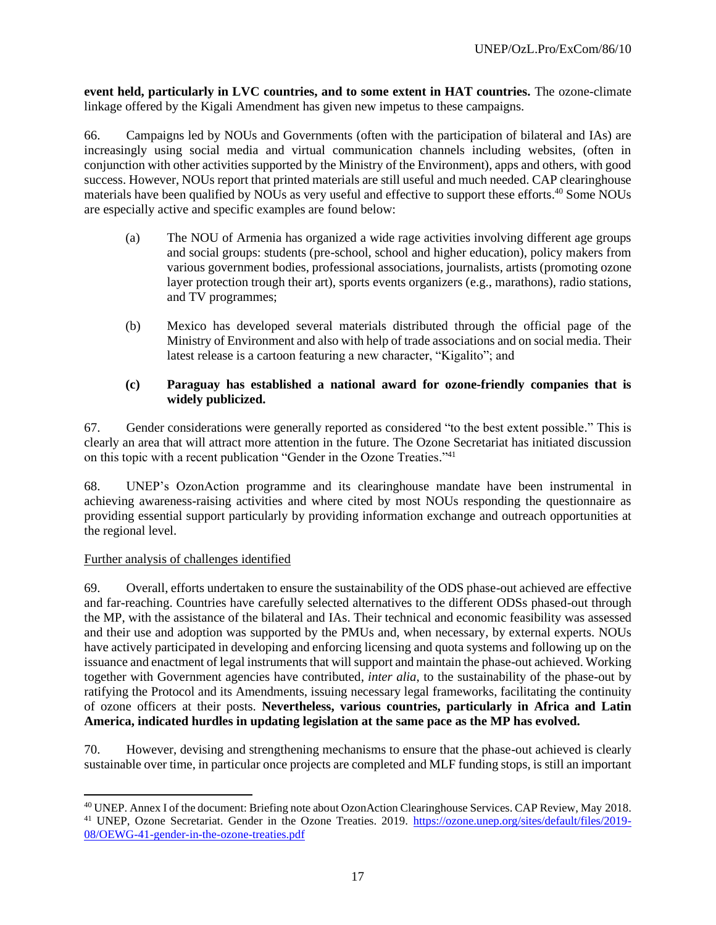**event held, particularly in LVC countries, and to some extent in HAT countries.** The ozone-climate linkage offered by the Kigali Amendment has given new impetus to these campaigns.

66. Campaigns led by NOUs and Governments (often with the participation of bilateral and IAs) are increasingly using social media and virtual communication channels including websites, (often in conjunction with other activities supported by the Ministry of the Environment), apps and others, with good success. However, NOUs report that printed materials are still useful and much needed. CAP clearinghouse materials have been qualified by NOUs as very useful and effective to support these efforts. <sup>40</sup> Some NOUs are especially active and specific examples are found below:

- (a) The NOU of Armenia has organized a wide rage activities involving different age groups and social groups: students (pre-school, school and higher education), policy makers from various government bodies, professional associations, journalists, artists (promoting ozone layer protection trough their art), sports events organizers (e.g., marathons), radio stations, and TV programmes;
- (b) Mexico has developed several materials distributed through the official page of the Ministry of Environment and also with help of trade associations and on social media. Their latest release is a cartoon featuring a new character, "Kigalito"; and

## **(c) Paraguay has established a national award for ozone-friendly companies that is widely publicized.**

67. Gender considerations were generally reported as considered "to the best extent possible." This is clearly an area that will attract more attention in the future. The Ozone Secretariat has initiated discussion on this topic with a recent publication "Gender in the Ozone Treaties."<sup>41</sup>

68. UNEP's OzonAction programme and its clearinghouse mandate have been instrumental in achieving awareness-raising activities and where cited by most NOUs responding the questionnaire as providing essential support particularly by providing information exchange and outreach opportunities at the regional level.

## Further analysis of challenges identified

69. Overall, efforts undertaken to ensure the sustainability of the ODS phase-out achieved are effective and far-reaching. Countries have carefully selected alternatives to the different ODSs phased-out through the MP, with the assistance of the bilateral and IAs. Their technical and economic feasibility was assessed and their use and adoption was supported by the PMUs and, when necessary, by external experts. NOUs have actively participated in developing and enforcing licensing and quota systems and following up on the issuance and enactment of legal instruments that will support and maintain the phase-out achieved. Working together with Government agencies have contributed, *inter alia*, to the sustainability of the phase-out by ratifying the Protocol and its Amendments, issuing necessary legal frameworks, facilitating the continuity of ozone officers at their posts. **Nevertheless, various countries, particularly in Africa and Latin America, indicated hurdles in updating legislation at the same pace as the MP has evolved.**

70. However, devising and strengthening mechanisms to ensure that the phase-out achieved is clearly sustainable over time, in particular once projects are completed and MLF funding stops, is still an important

<sup>40</sup> UNEP. Annex I of the document: Briefing note about OzonAction Clearinghouse Services. CAP Review, May 2018. <sup>41</sup> UNEP, Ozone Secretariat. Gender in the Ozone Treaties. 2019. [https://ozone.unep.org/sites/default/files/2019-](https://ozone.unep.org/sites/default/files/2019-08/OEWG-41-gender-in-the-ozone-treaties.pdf) [08/OEWG-41-gender-in-the-ozone-treaties.pdf](https://ozone.unep.org/sites/default/files/2019-08/OEWG-41-gender-in-the-ozone-treaties.pdf)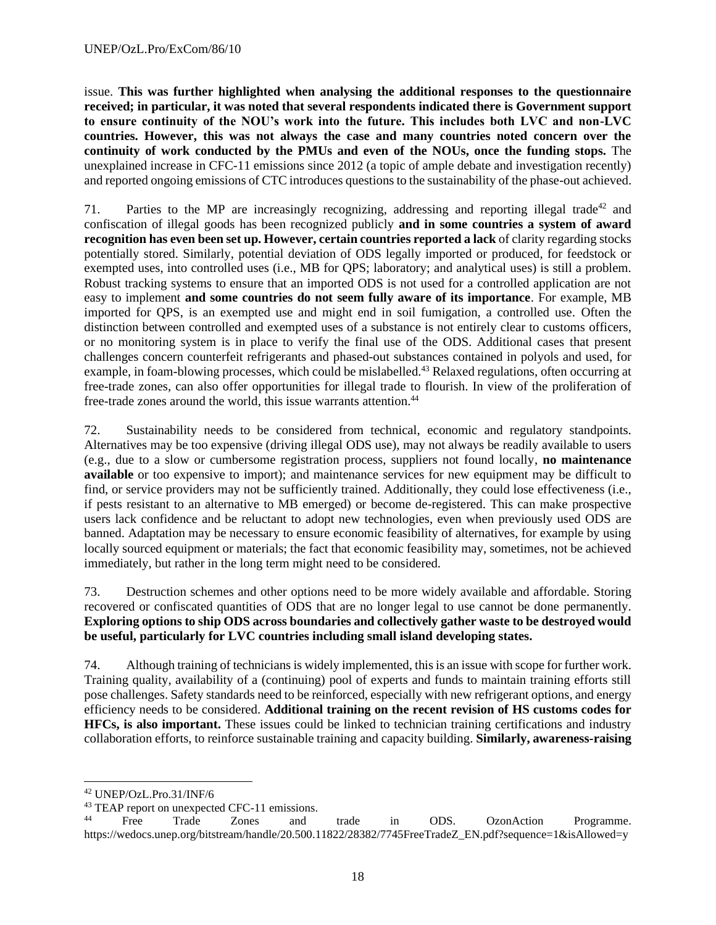issue. **This was further highlighted when analysing the additional responses to the questionnaire received; in particular, it was noted that several respondents indicated there is Government support to ensure continuity of the NOU's work into the future. This includes both LVC and non-LVC countries. However, this was not always the case and many countries noted concern over the continuity of work conducted by the PMUs and even of the NOUs, once the funding stops.** The unexplained increase in CFC-11 emissions since 2012 (a topic of ample debate and investigation recently) and reported ongoing emissions of CTC introduces questions to the sustainability of the phase-out achieved.

71. Parties to the MP are increasingly recognizing, addressing and reporting illegal trade<sup>42</sup> and confiscation of illegal goods has been recognized publicly **and in some countries a system of award recognition has even been set up. However, certain countries reported a lack** of clarity regarding stocks potentially stored. Similarly, potential deviation of ODS legally imported or produced, for feedstock or exempted uses, into controlled uses (i.e., MB for QPS; laboratory; and analytical uses) is still a problem. Robust tracking systems to ensure that an imported ODS is not used for a controlled application are not easy to implement **and some countries do not seem fully aware of its importance**. For example, MB imported for QPS, is an exempted use and might end in soil fumigation, a controlled use. Often the distinction between controlled and exempted uses of a substance is not entirely clear to customs officers, or no monitoring system is in place to verify the final use of the ODS. Additional cases that present challenges concern counterfeit refrigerants and phased-out substances contained in polyols and used, for example, in foam-blowing processes, which could be mislabelled.<sup>43</sup> Relaxed regulations, often occurring at free-trade zones, can also offer opportunities for illegal trade to flourish. In view of the proliferation of free-trade zones around the world, this issue warrants attention.<sup>44</sup>

72. Sustainability needs to be considered from technical, economic and regulatory standpoints. Alternatives may be too expensive (driving illegal ODS use), may not always be readily available to users (e.g., due to a slow or cumbersome registration process, suppliers not found locally, **no maintenance available** or too expensive to import); and maintenance services for new equipment may be difficult to find, or service providers may not be sufficiently trained. Additionally, they could lose effectiveness (i.e., if pests resistant to an alternative to MB emerged) or become de-registered. This can make prospective users lack confidence and be reluctant to adopt new technologies, even when previously used ODS are banned. Adaptation may be necessary to ensure economic feasibility of alternatives, for example by using locally sourced equipment or materials; the fact that economic feasibility may, sometimes, not be achieved immediately, but rather in the long term might need to be considered.

73. Destruction schemes and other options need to be more widely available and affordable. Storing recovered or confiscated quantities of ODS that are no longer legal to use cannot be done permanently. **Exploring options to ship ODS across boundaries and collectively gather waste to be destroyed would be useful, particularly for LVC countries including small island developing states.**

74. Although training of technicians is widely implemented, this is an issue with scope for further work. Training quality, availability of a (continuing) pool of experts and funds to maintain training efforts still pose challenges. Safety standards need to be reinforced, especially with new refrigerant options, and energy efficiency needs to be considered. **Additional training on the recent revision of HS customs codes for HFCs, is also important.** These issues could be linked to technician training certifications and industry collaboration efforts, to reinforce sustainable training and capacity building. **Similarly, awareness-raising** 

<sup>42</sup> UNEP/OzL.Pro.31/INF/6

<sup>&</sup>lt;sup>43</sup> TEAP report on unexpected CFC-11 emissions.<br><sup>44</sup> Ereo Trade Zones and

<sup>&</sup>lt;sup>44</sup> Free Trade Zones and trade in ODS. OzonAction Programme. https://wedocs.unep.org/bitstream/handle/20.500.11822/28382/7745FreeTradeZ\_EN.pdf?sequence=1&isAllowed=y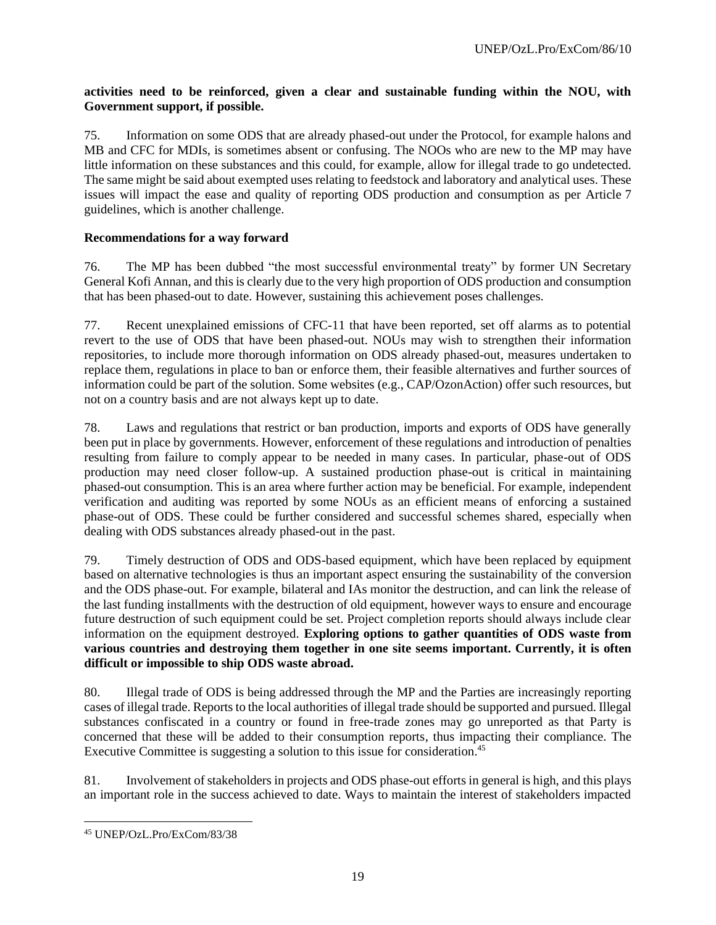## **activities need to be reinforced, given a clear and sustainable funding within the NOU, with Government support, if possible.**

75. Information on some ODS that are already phased-out under the Protocol, for example halons and MB and CFC for MDIs, is sometimes absent or confusing. The NOOs who are new to the MP may have little information on these substances and this could, for example, allow for illegal trade to go undetected. The same might be said about exempted uses relating to feedstock and laboratory and analytical uses. These issues will impact the ease and quality of reporting ODS production and consumption as per Article 7 guidelines, which is another challenge.

## **Recommendations for a way forward**

76. The MP has been dubbed "the most successful environmental treaty" by former UN Secretary General Kofi Annan, and this is clearly due to the very high proportion of ODS production and consumption that has been phased-out to date. However, sustaining this achievement poses challenges.

77. Recent unexplained emissions of CFC-11 that have been reported, set off alarms as to potential revert to the use of ODS that have been phased-out. NOUs may wish to strengthen their information repositories, to include more thorough information on ODS already phased-out, measures undertaken to replace them, regulations in place to ban or enforce them, their feasible alternatives and further sources of information could be part of the solution. Some websites (e.g., CAP/OzonAction) offer such resources, but not on a country basis and are not always kept up to date.

78. Laws and regulations that restrict or ban production, imports and exports of ODS have generally been put in place by governments. However, enforcement of these regulations and introduction of penalties resulting from failure to comply appear to be needed in many cases. In particular, phase-out of ODS production may need closer follow-up. A sustained production phase-out is critical in maintaining phased-out consumption. This is an area where further action may be beneficial. For example, independent verification and auditing was reported by some NOUs as an efficient means of enforcing a sustained phase-out of ODS. These could be further considered and successful schemes shared, especially when dealing with ODS substances already phased-out in the past.

79. Timely destruction of ODS and ODS-based equipment, which have been replaced by equipment based on alternative technologies is thus an important aspect ensuring the sustainability of the conversion and the ODS phase-out. For example, bilateral and IAs monitor the destruction, and can link the release of the last funding installments with the destruction of old equipment, however ways to ensure and encourage future destruction of such equipment could be set. Project completion reports should always include clear information on the equipment destroyed. **Exploring options to gather quantities of ODS waste from various countries and destroying them together in one site seems important. Currently, it is often difficult or impossible to ship ODS waste abroad.** 

80. Illegal trade of ODS is being addressed through the MP and the Parties are increasingly reporting cases of illegal trade. Reports to the local authorities of illegal trade should be supported and pursued. Illegal substances confiscated in a country or found in free-trade zones may go unreported as that Party is concerned that these will be added to their consumption reports, thus impacting their compliance. The Executive Committee is suggesting a solution to this issue for consideration. 45

81. Involvement of stakeholders in projects and ODS phase-out efforts in general is high, and this plays an important role in the success achieved to date. Ways to maintain the interest of stakeholders impacted

<sup>45</sup> UNEP/OzL.Pro/ExCom/83/38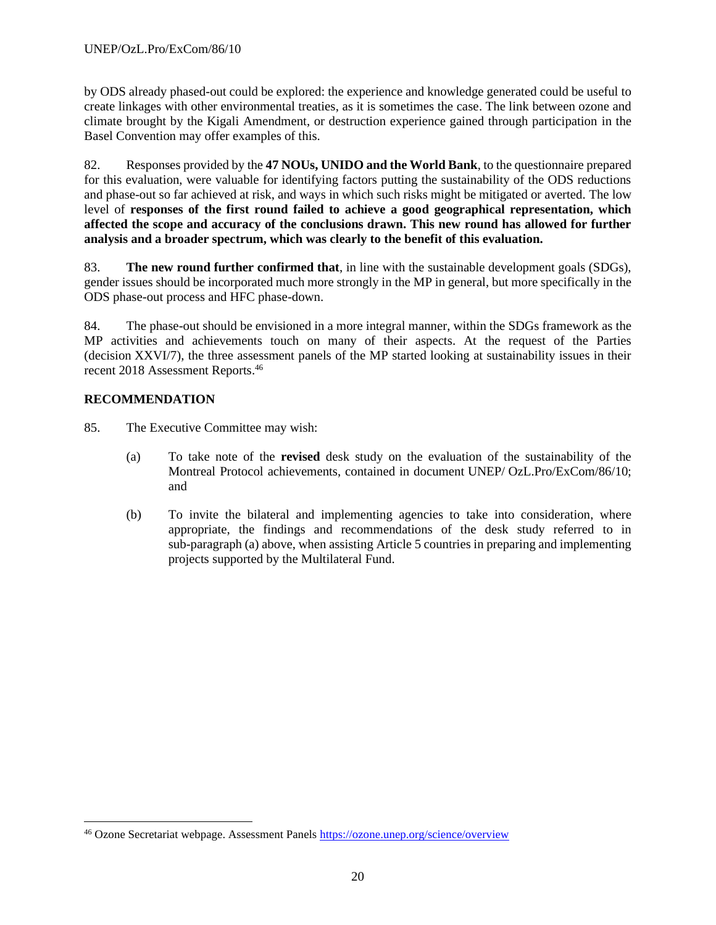by ODS already phased-out could be explored: the experience and knowledge generated could be useful to create linkages with other environmental treaties, as it is sometimes the case. The link between ozone and climate brought by the Kigali Amendment, or destruction experience gained through participation in the Basel Convention may offer examples of this.

82. Responses provided by the **47 NOUs, UNIDO and the World Bank**, to the questionnaire prepared for this evaluation, were valuable for identifying factors putting the sustainability of the ODS reductions and phase-out so far achieved at risk, and ways in which such risks might be mitigated or averted. The low level of **responses of the first round failed to achieve a good geographical representation, which affected the scope and accuracy of the conclusions drawn. This new round has allowed for further analysis and a broader spectrum, which was clearly to the benefit of this evaluation.**

83. **The new round further confirmed that**, in line with the sustainable development goals (SDGs), gender issues should be incorporated much more strongly in the MP in general, but more specifically in the ODS phase-out process and HFC phase-down.

84. The phase-out should be envisioned in a more integral manner, within the SDGs framework as the MP activities and achievements touch on many of their aspects. At the request of the Parties (decision XXVI/7), the three assessment panels of the MP started looking at sustainability issues in their recent 2018 Assessment Reports.<sup>46</sup>

## **RECOMMENDATION**

85. The Executive Committee may wish:

- (a) To take note of the **revised** desk study on the evaluation of the sustainability of the Montreal Protocol achievements, contained in document UNEP/ OzL.Pro/ExCom/86/10; and
- (b) To invite the bilateral and implementing agencies to take into consideration, where appropriate, the findings and recommendations of the desk study referred to in sub-paragraph (a) above, when assisting Article 5 countries in preparing and implementing projects supported by the Multilateral Fund.

<sup>&</sup>lt;sup>46</sup> Ozone Secretariat webpage. Assessment Panel[s https://ozone.unep.org/science/overview](https://ozone.unep.org/science/overview)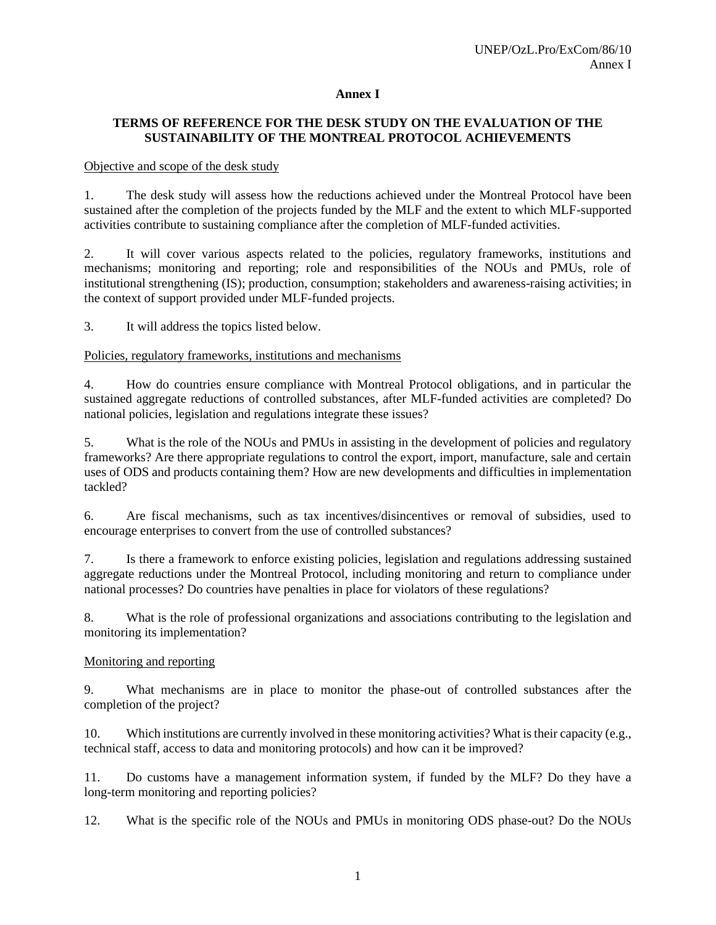#### **Annex I**

## **TERMS OF REFERENCE FOR THE DESK STUDY ON THE EVALUATION OF THE SUSTAINABILITY OF THE MONTREAL PROTOCOL ACHIEVEMENTS**

#### Objective and scope of the desk study

1. The desk study will assess how the reductions achieved under the Montreal Protocol have been sustained after the completion of the projects funded by the MLF and the extent to which MLF-supported activities contribute to sustaining compliance after the completion of MLF-funded activities.

2. It will cover various aspects related to the policies, regulatory frameworks, institutions and mechanisms; monitoring and reporting; role and responsibilities of the NOUs and PMUs, role of institutional strengthening (IS); production, consumption; stakeholders and awareness-raising activities; in the context of support provided under MLF-funded projects.

3. It will address the topics listed below.

#### Policies, regulatory frameworks, institutions and mechanisms

4. How do countries ensure compliance with Montreal Protocol obligations, and in particular the sustained aggregate reductions of controlled substances, after MLF-funded activities are completed? Do national policies, legislation and regulations integrate these issues?

5. What is the role of the NOUs and PMUs in assisting in the development of policies and regulatory frameworks? Are there appropriate regulations to control the export, import, manufacture, sale and certain uses of ODS and products containing them? How are new developments and difficulties in implementation tackled?

6. Are fiscal mechanisms, such as tax incentives/disincentives or removal of subsidies, used to encourage enterprises to convert from the use of controlled substances?

7. Is there a framework to enforce existing policies, legislation and regulations addressing sustained aggregate reductions under the Montreal Protocol, including monitoring and return to compliance under national processes? Do countries have penalties in place for violators of these regulations?

8. What is the role of professional organizations and associations contributing to the legislation and monitoring its implementation?

## Monitoring and reporting

9. What mechanisms are in place to monitor the phase-out of controlled substances after the completion of the project?

10. Which institutions are currently involved in these monitoring activities? What is their capacity (e.g., technical staff, access to data and monitoring protocols) and how can it be improved?

11. Do customs have a management information system, if funded by the MLF? Do they have a long-term monitoring and reporting policies?

12. What is the specific role of the NOUs and PMUs in monitoring ODS phase-out? Do the NOUs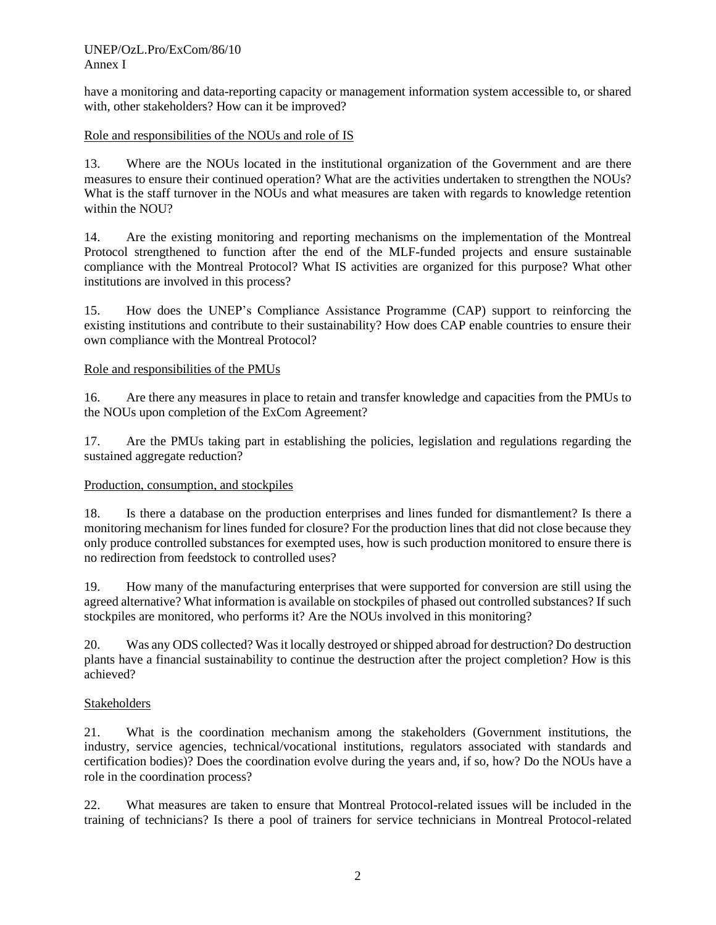#### UNEP/OzL.Pro/ExCom/86/10 Annex I

have a monitoring and data-reporting capacity or management information system accessible to, or shared with, other stakeholders? How can it be improved?

#### Role and responsibilities of the NOUs and role of IS

13. Where are the NOUs located in the institutional organization of the Government and are there measures to ensure their continued operation? What are the activities undertaken to strengthen the NOUs? What is the staff turnover in the NOUs and what measures are taken with regards to knowledge retention within the NOU?

14. Are the existing monitoring and reporting mechanisms on the implementation of the Montreal Protocol strengthened to function after the end of the MLF-funded projects and ensure sustainable compliance with the Montreal Protocol? What IS activities are organized for this purpose? What other institutions are involved in this process?

15. How does the UNEP's Compliance Assistance Programme (CAP) support to reinforcing the existing institutions and contribute to their sustainability? How does CAP enable countries to ensure their own compliance with the Montreal Protocol?

#### Role and responsibilities of the PMUs

16. Are there any measures in place to retain and transfer knowledge and capacities from the PMUs to the NOUs upon completion of the ExCom Agreement?

17. Are the PMUs taking part in establishing the policies, legislation and regulations regarding the sustained aggregate reduction?

#### Production, consumption, and stockpiles

18. Is there a database on the production enterprises and lines funded for dismantlement? Is there a monitoring mechanism for lines funded for closure? For the production lines that did not close because they only produce controlled substances for exempted uses, how is such production monitored to ensure there is no redirection from feedstock to controlled uses?

19. How many of the manufacturing enterprises that were supported for conversion are still using the agreed alternative? What information is available on stockpiles of phased out controlled substances? If such stockpiles are monitored, who performs it? Are the NOUs involved in this monitoring?

20. Was any ODS collected? Was it locally destroyed or shipped abroad for destruction? Do destruction plants have a financial sustainability to continue the destruction after the project completion? How is this achieved?

#### Stakeholders

21. What is the coordination mechanism among the stakeholders (Government institutions, the industry, service agencies, technical/vocational institutions, regulators associated with standards and certification bodies)? Does the coordination evolve during the years and, if so, how? Do the NOUs have a role in the coordination process?

22. What measures are taken to ensure that Montreal Protocol-related issues will be included in the training of technicians? Is there a pool of trainers for service technicians in Montreal Protocol-related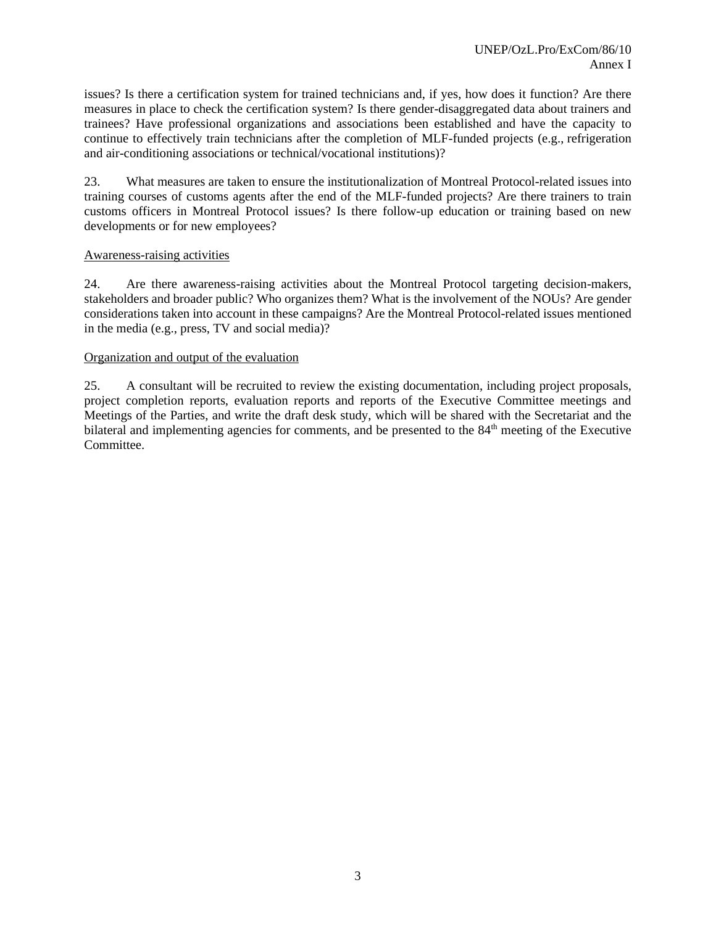issues? Is there a certification system for trained technicians and, if yes, how does it function? Are there measures in place to check the certification system? Is there gender-disaggregated data about trainers and trainees? Have professional organizations and associations been established and have the capacity to continue to effectively train technicians after the completion of MLF-funded projects (e.g., refrigeration and air-conditioning associations or technical/vocational institutions)?

23. What measures are taken to ensure the institutionalization of Montreal Protocol-related issues into training courses of customs agents after the end of the MLF-funded projects? Are there trainers to train customs officers in Montreal Protocol issues? Is there follow-up education or training based on new developments or for new employees?

#### Awareness-raising activities

24. Are there awareness-raising activities about the Montreal Protocol targeting decision-makers, stakeholders and broader public? Who organizes them? What is the involvement of the NOUs? Are gender considerations taken into account in these campaigns? Are the Montreal Protocol-related issues mentioned in the media (e.g., press, TV and social media)?

#### Organization and output of the evaluation

25. A consultant will be recruited to review the existing documentation, including project proposals, project completion reports, evaluation reports and reports of the Executive Committee meetings and Meetings of the Parties, and write the draft desk study, which will be shared with the Secretariat and the bilateral and implementing agencies for comments, and be presented to the 84<sup>th</sup> meeting of the Executive Committee.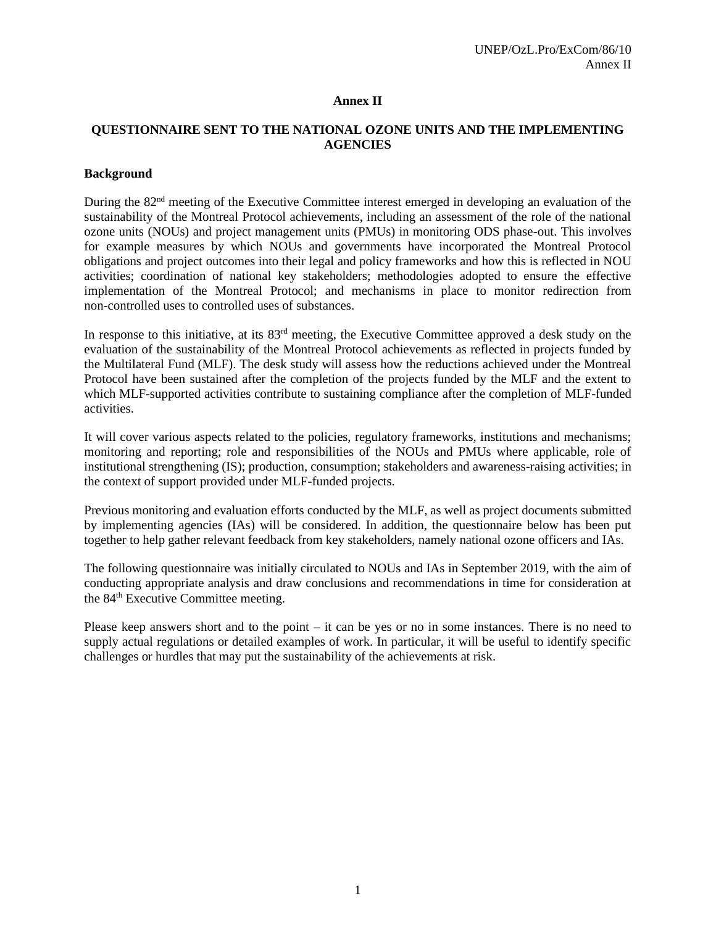#### **Annex II**

#### **QUESTIONNAIRE SENT TO THE NATIONAL OZONE UNITS AND THE IMPLEMENTING AGENCIES**

#### **Background**

During the 82<sup>nd</sup> meeting of the Executive Committee interest emerged in developing an evaluation of the sustainability of the Montreal Protocol achievements, including an assessment of the role of the national ozone units (NOUs) and project management units (PMUs) in monitoring ODS phase-out. This involves for example measures by which NOUs and governments have incorporated the Montreal Protocol obligations and project outcomes into their legal and policy frameworks and how this is reflected in NOU activities; coordination of national key stakeholders; methodologies adopted to ensure the effective implementation of the Montreal Protocol; and mechanisms in place to monitor redirection from non-controlled uses to controlled uses of substances.

In response to this initiative, at its 83<sup>rd</sup> meeting, the Executive Committee approved a desk study on the evaluation of the sustainability of the Montreal Protocol achievements as reflected in projects funded by the Multilateral Fund (MLF). The desk study will assess how the reductions achieved under the Montreal Protocol have been sustained after the completion of the projects funded by the MLF and the extent to which MLF-supported activities contribute to sustaining compliance after the completion of MLF-funded activities.

It will cover various aspects related to the policies, regulatory frameworks, institutions and mechanisms; monitoring and reporting; role and responsibilities of the NOUs and PMUs where applicable, role of institutional strengthening (IS); production, consumption; stakeholders and awareness-raising activities; in the context of support provided under MLF-funded projects.

Previous monitoring and evaluation efforts conducted by the MLF, as well as project documents submitted by implementing agencies (IAs) will be considered. In addition, the questionnaire below has been put together to help gather relevant feedback from key stakeholders, namely national ozone officers and IAs.

The following questionnaire was initially circulated to NOUs and IAs in September 2019, with the aim of conducting appropriate analysis and draw conclusions and recommendations in time for consideration at the 84<sup>th</sup> Executive Committee meeting.

Please keep answers short and to the point – it can be yes or no in some instances. There is no need to supply actual regulations or detailed examples of work. In particular, it will be useful to identify specific challenges or hurdles that may put the sustainability of the achievements at risk.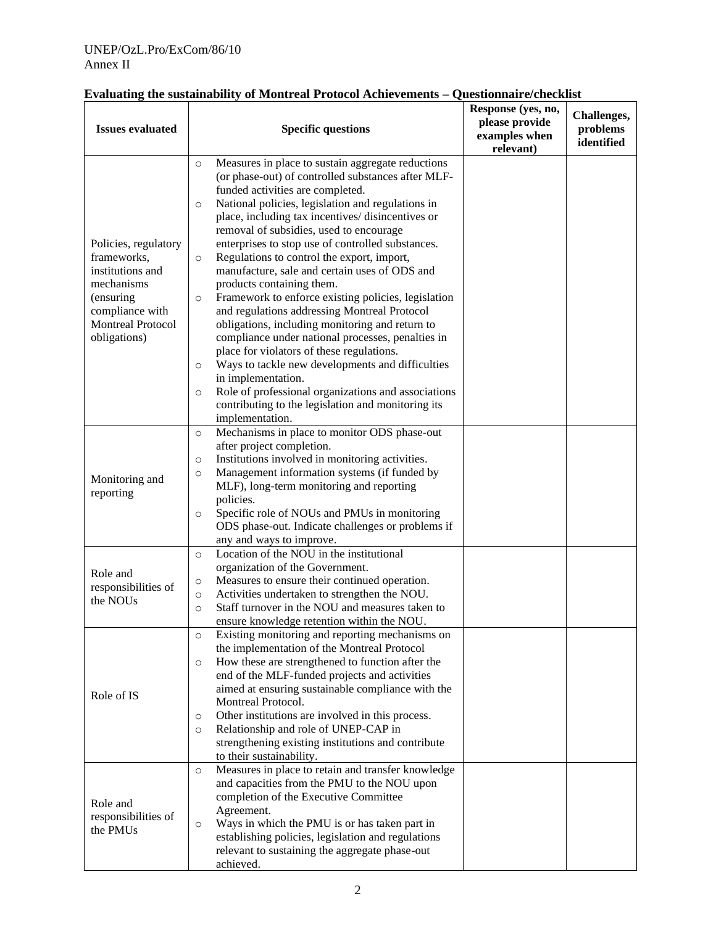#### UNEP/OzL.Pro/ExCom/86/10 Annex II

| <b>Issues evaluated</b>                                                                                                                           | <b>Specific questions</b>                                                                                                                                                                                                                                                                                                                                                                                                                                                                                                                                                                                                                                                                                                                                                                                                                                                                                                                                                                                                 | Response (yes, no,<br>please provide<br>examples when<br>relevant) | Challenges,<br>problems<br>identified |
|---------------------------------------------------------------------------------------------------------------------------------------------------|---------------------------------------------------------------------------------------------------------------------------------------------------------------------------------------------------------------------------------------------------------------------------------------------------------------------------------------------------------------------------------------------------------------------------------------------------------------------------------------------------------------------------------------------------------------------------------------------------------------------------------------------------------------------------------------------------------------------------------------------------------------------------------------------------------------------------------------------------------------------------------------------------------------------------------------------------------------------------------------------------------------------------|--------------------------------------------------------------------|---------------------------------------|
| Policies, regulatory<br>frameworks,<br>institutions and<br>mechanisms<br>(ensuring<br>compliance with<br><b>Montreal Protocol</b><br>obligations) | Measures in place to sustain aggregate reductions<br>$\circ$<br>(or phase-out) of controlled substances after MLF-<br>funded activities are completed.<br>National policies, legislation and regulations in<br>$\circ$<br>place, including tax incentives/ disincentives or<br>removal of subsidies, used to encourage<br>enterprises to stop use of controlled substances.<br>Regulations to control the export, import,<br>$\circ$<br>manufacture, sale and certain uses of ODS and<br>products containing them.<br>Framework to enforce existing policies, legislation<br>$\circ$<br>and regulations addressing Montreal Protocol<br>obligations, including monitoring and return to<br>compliance under national processes, penalties in<br>place for violators of these regulations.<br>Ways to tackle new developments and difficulties<br>$\circ$<br>in implementation.<br>Role of professional organizations and associations<br>$\circ$<br>contributing to the legislation and monitoring its<br>implementation. |                                                                    |                                       |
| Monitoring and<br>reporting                                                                                                                       | Mechanisms in place to monitor ODS phase-out<br>$\circ$<br>after project completion.<br>Institutions involved in monitoring activities.<br>$\circ$<br>Management information systems (if funded by<br>$\circ$<br>MLF), long-term monitoring and reporting<br>policies.<br>Specific role of NOUs and PMUs in monitoring<br>$\circ$<br>ODS phase-out. Indicate challenges or problems if<br>any and ways to improve.                                                                                                                                                                                                                                                                                                                                                                                                                                                                                                                                                                                                        |                                                                    |                                       |
| Role and<br>responsibilities of<br>the NOUs                                                                                                       | Location of the NOU in the institutional<br>$\circ$<br>organization of the Government.<br>Measures to ensure their continued operation.<br>$\circ$<br>Activities undertaken to strengthen the NOU.<br>$\circ$<br>Staff turnover in the NOU and measures taken to<br>$\circ$<br>ensure knowledge retention within the NOU.                                                                                                                                                                                                                                                                                                                                                                                                                                                                                                                                                                                                                                                                                                 |                                                                    |                                       |
| Role of IS                                                                                                                                        | Existing monitoring and reporting mechanisms on<br>$\circ$<br>the implementation of the Montreal Protocol<br>How these are strengthened to function after the<br>$\circ$<br>end of the MLF-funded projects and activities<br>aimed at ensuring sustainable compliance with the<br>Montreal Protocol.<br>Other institutions are involved in this process.<br>$\circ$<br>Relationship and role of UNEP-CAP in<br>$\circ$<br>strengthening existing institutions and contribute<br>to their sustainability.                                                                                                                                                                                                                                                                                                                                                                                                                                                                                                                  |                                                                    |                                       |
| Role and<br>responsibilities of<br>the PMUs                                                                                                       | Measures in place to retain and transfer knowledge<br>$\circ$<br>and capacities from the PMU to the NOU upon<br>completion of the Executive Committee<br>Agreement.<br>Ways in which the PMU is or has taken part in<br>$\circ$<br>establishing policies, legislation and regulations<br>relevant to sustaining the aggregate phase-out<br>achieved.                                                                                                                                                                                                                                                                                                                                                                                                                                                                                                                                                                                                                                                                      |                                                                    |                                       |

## **Evaluating the sustainability of Montreal Protocol Achievements – Questionnaire/checklist**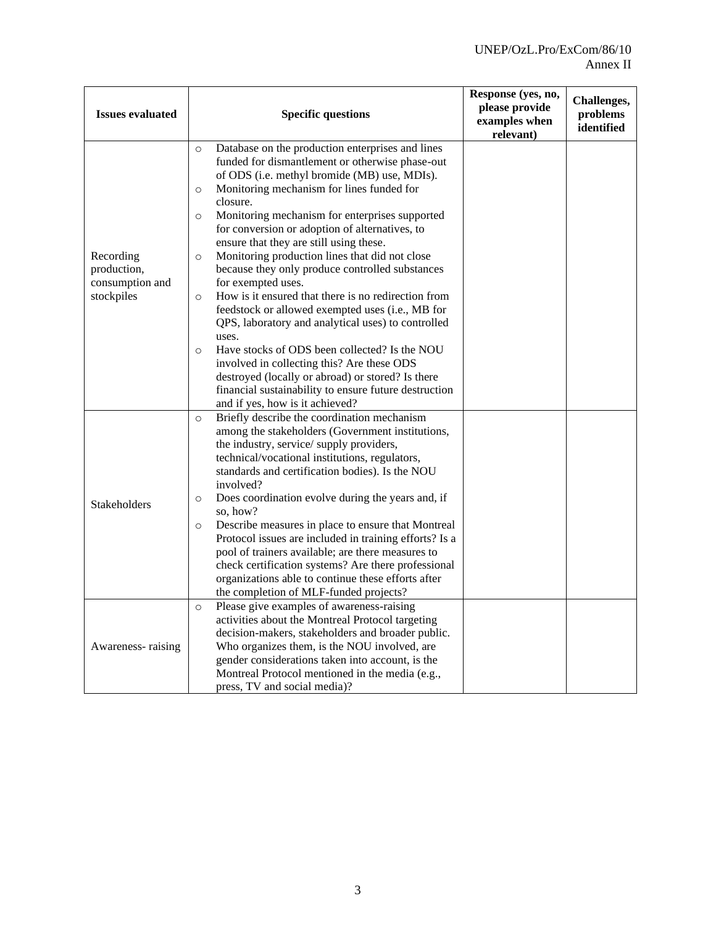| <b>Issues evaluated</b>                                   | <b>Specific questions</b>                                                                                                                                                                                                                                                                                                                                                                                                                                                                                                                                                                                                                                                                                                                                                                                                                                                                                                                                                           | Response (yes, no,<br>please provide<br>examples when<br>relevant) | Challenges,<br>problems<br>identified |
|-----------------------------------------------------------|-------------------------------------------------------------------------------------------------------------------------------------------------------------------------------------------------------------------------------------------------------------------------------------------------------------------------------------------------------------------------------------------------------------------------------------------------------------------------------------------------------------------------------------------------------------------------------------------------------------------------------------------------------------------------------------------------------------------------------------------------------------------------------------------------------------------------------------------------------------------------------------------------------------------------------------------------------------------------------------|--------------------------------------------------------------------|---------------------------------------|
| Recording<br>production,<br>consumption and<br>stockpiles | Database on the production enterprises and lines<br>$\circ$<br>funded for dismantlement or otherwise phase-out<br>of ODS (i.e. methyl bromide (MB) use, MDIs).<br>Monitoring mechanism for lines funded for<br>$\circ$<br>closure.<br>Monitoring mechanism for enterprises supported<br>$\circ$<br>for conversion or adoption of alternatives, to<br>ensure that they are still using these.<br>Monitoring production lines that did not close<br>$\circ$<br>because they only produce controlled substances<br>for exempted uses.<br>How is it ensured that there is no redirection from<br>$\Omega$<br>feedstock or allowed exempted uses (i.e., MB for<br>QPS, laboratory and analytical uses) to controlled<br>uses.<br>Have stocks of ODS been collected? Is the NOU<br>$\circ$<br>involved in collecting this? Are these ODS<br>destroyed (locally or abroad) or stored? Is there<br>financial sustainability to ensure future destruction<br>and if yes, how is it achieved? |                                                                    |                                       |
| Stakeholders                                              | Briefly describe the coordination mechanism<br>$\circ$<br>among the stakeholders (Government institutions,<br>the industry, service/supply providers,<br>technical/vocational institutions, regulators,<br>standards and certification bodies). Is the NOU<br>involved?<br>Does coordination evolve during the years and, if<br>$\circ$<br>so, how?<br>Describe measures in place to ensure that Montreal<br>$\circ$<br>Protocol issues are included in training efforts? Is a<br>pool of trainers available; are there measures to<br>check certification systems? Are there professional<br>organizations able to continue these efforts after<br>the completion of MLF-funded projects?                                                                                                                                                                                                                                                                                          |                                                                    |                                       |
| Awareness-raising                                         | Please give examples of awareness-raising<br>$\circ$<br>activities about the Montreal Protocol targeting<br>decision-makers, stakeholders and broader public.<br>Who organizes them, is the NOU involved, are<br>gender considerations taken into account, is the<br>Montreal Protocol mentioned in the media (e.g.,<br>press, TV and social media)?                                                                                                                                                                                                                                                                                                                                                                                                                                                                                                                                                                                                                                |                                                                    |                                       |